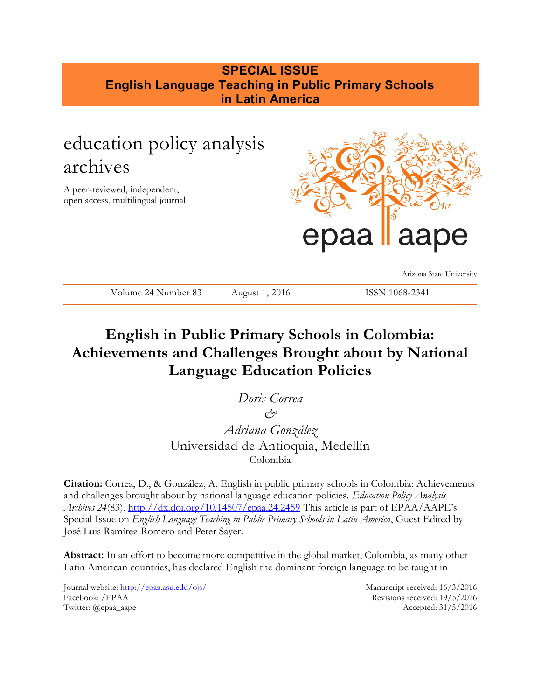# **SPECIAL ISSUE English Language Teaching in Public Primary Schools in Latin America**

# education policy analysis archives

A peer-reviewed, independent, open access, multilingual journal



Arizona State University

Volume 24 Number 83 August 1, 2016 ISSN 1068-2341

# **English in Public Primary Schools in Colombia: Achievements and Challenges Brought about by National Language Education Policies**

*Doris Correa*  $\varphi$ <sup>\*</sup> *Adriana González*

Universidad de Antioquia, Medellín Colombia

**Citation:** Correa, D., & González, A. English in public primary schools in Colombia: Achievements and challenges brought about by national language education policies. *Education Policy Analysis Archives 24*(83).<http://dx.doi.org/10.14507/epaa.24.2459> This article is part of EPAA/AAPE's Special Issue on *English Language Teaching in Public Primary Schools in Latin America*, Guest Edited by José Luis Ramírez-Romero and Peter Sayer.

**Abstract:** In an effort to become more competitive in the global market, Colombia, as many other Latin American countries, has declared English the dominant foreign language to be taught in

Journal website:<http://epaa.asu.edu/ojs/> Manuscript received: 16/3/2016 Facebook: /EPAA Revisions received: 19/5/2016 Twitter: @epaa\_aape Accepted: 31/5/2016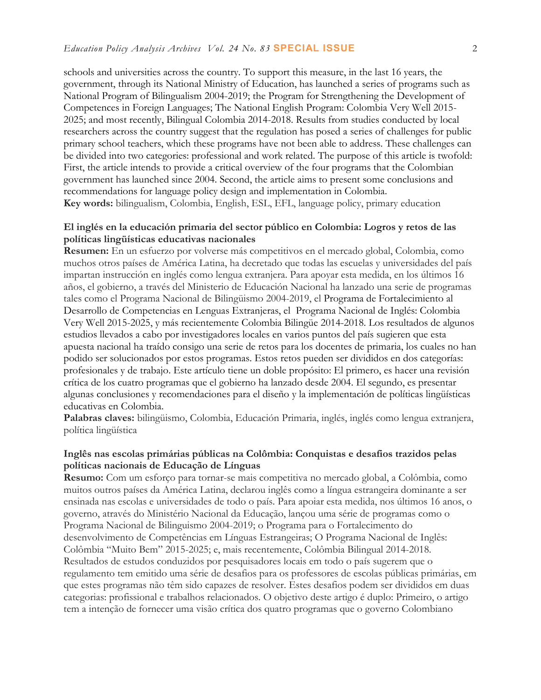schools and universities across the country. To support this measure, in the last 16 years, the government, through its National Ministry of Education, has launched a series of programs such as National Program of Bilingualism 2004-2019; the Program for Strengthening the Development of Competences in Foreign Languages; The National English Program: Colombia Very Well 2015- 2025; and most recently, Bilingual Colombia 2014-2018. Results from studies conducted by local researchers across the country suggest that the regulation has posed a series of challenges for public primary school teachers, which these programs have not been able to address. These challenges can be divided into two categories: professional and work related. The purpose of this article is twofold: First, the article intends to provide a critical overview of the four programs that the Colombian government has launched since 2004. Second, the article aims to present some conclusions and recommendations for language policy design and implementation in Colombia. **Key words:** bilingualism, Colombia, English, ESL, EFL, language policy, primary education

## **El inglés en la educación primaria del sector público en Colombia: Logros y retos de las políticas lingüísticas educativas nacionales**

**Resumen:** En un esfuerzo por volverse más competitivos en el mercado global, Colombia, como muchos otros países de América Latina, ha decretado que todas las escuelas y universidades del país impartan instrucción en inglés como lengua extranjera. Para apoyar esta medida, en los últimos 16 años, el gobierno, a través del Ministerio de Educación Nacional ha lanzado una serie de programas tales como el Programa Nacional de Bilingüismo 2004-2019, el Programa de Fortalecimiento al Desarrollo de Competencias en Lenguas Extranjeras, el Programa Nacional de Inglés: Colombia Very Well 2015-2025, y más recientemente Colombia Bilingüe 2014-2018. Los resultados de algunos estudios llevados a cabo por investigadores locales en varios puntos del país sugieren que esta apuesta nacional ha traído consigo una serie de retos para los docentes de primaria, los cuales no han podido ser solucionados por estos programas. Estos retos pueden ser divididos en dos categorías: profesionales y de trabajo. Este artículo tiene un doble propósito: El primero, es hacer una revisión crítica de los cuatro programas que el gobierno ha lanzado desde 2004. El segundo, es presentar algunas conclusiones y recomendaciones para el diseño y la implementación de políticas lingüísticas educativas en Colombia.

**Palabras claves:** bilingüismo, Colombia, Educación Primaria, inglés, inglés como lengua extranjera, política lingüística

## **Inglês nas escolas primárias públicas na Colômbia: Conquistas e desafios trazidos pelas políticas nacionais de Educação de Línguas**

**Resumo:** Com um esforço para tornar-se mais competitiva no mercado global, a Colômbia, como muitos outros países da América Latina, declarou inglês como a língua estrangeira dominante a ser ensinada nas escolas e universidades de todo o país. Para apoiar esta medida, nos últimos 16 anos, o governo, através do Ministério Nacional da Educação, lançou uma série de programas como o Programa Nacional de Bilinguismo 2004-2019; o Programa para o Fortalecimento do desenvolvimento de Competências em Línguas Estrangeiras; O Programa Nacional de Inglês: Colômbia "Muito Bem" 2015-2025; e, mais recentemente, Colômbia Bilingual 2014-2018. Resultados de estudos conduzidos por pesquisadores locais em todo o país sugerem que o regulamento tem emitido uma série de desafios para os professores de escolas públicas primárias, em que estes programas não têm sido capazes de resolver. Estes desafios podem ser divididos em duas categorias: profissional e trabalhos relacionados. O objetivo deste artigo é duplo: Primeiro, o artigo tem a intenção de fornecer uma visão crítica dos quatro programas que o governo Colombiano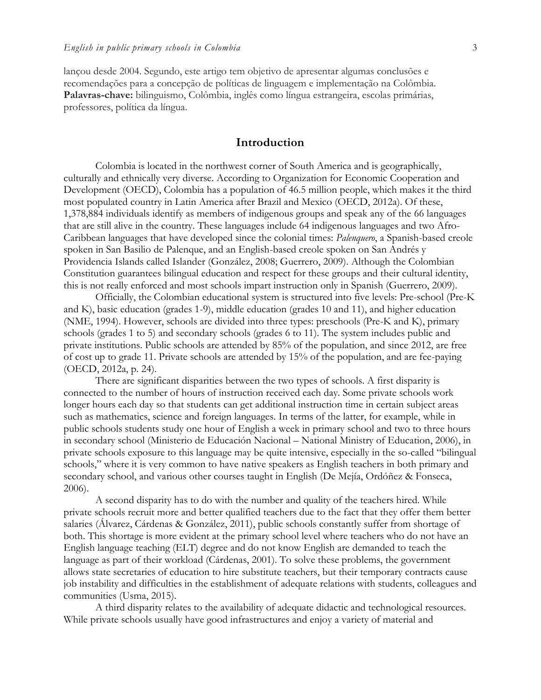lançou desde 2004. Segundo, este artigo tem objetivo de apresentar algumas conclusões e recomendações para a concepção de políticas de linguagem e implementação na Colômbia. **Palavras-chave:** bilinguismo, Colômbia, inglês como língua estrangeira, escolas primárias, professores, política da língua.

## **Introduction**

Colombia is located in the northwest corner of South America and is geographically, culturally and ethnically very diverse. According to Organization for Economic Cooperation and Development (OECD), Colombia has a population of 46.5 million people, which makes it the third most populated country in Latin America after Brazil and Mexico (OECD, 2012a). Of these, 1,378,884 individuals identify as members of indigenous groups and speak any of the 66 languages that are still alive in the country. These languages include 64 indigenous languages and two Afro-Caribbean languages that have developed since the colonial times: *Palenquero*, a Spanish-based creole spoken in San Basilio de Palenque, and an English-based creole spoken on San Andrés y Providencia Islands called Islander (González, 2008; Guerrero, 2009). Although the Colombian Constitution guarantees bilingual education and respect for these groups and their cultural identity, this is not really enforced and most schools impart instruction only in Spanish (Guerrero, 2009).

Officially, the Colombian educational system is structured into five levels: Pre-school (Pre-K and K), basic education (grades 1-9), middle education (grades 10 and 11), and higher education (NME, 1994). However, schools are divided into three types: preschools (Pre-K and K), primary schools (grades 1 to 5) and secondary schools (grades 6 to 11). The system includes public and private institutions. Public schools are attended by 85% of the population, and since 2012, are free of cost up to grade 11. Private schools are attended by 15% of the population, and are fee-paying (OECD, 2012a, p. 24).

There are significant disparities between the two types of schools. A first disparity is connected to the number of hours of instruction received each day. Some private schools work longer hours each day so that students can get additional instruction time in certain subject areas such as mathematics, science and foreign languages. In terms of the latter, for example, while in public schools students study one hour of English a week in primary school and two to three hours in secondary school (Ministerio de Educación Nacional – National Ministry of Education, 2006), in private schools exposure to this language may be quite intensive, especially in the so-called "bilingual schools," where it is very common to have native speakers as English teachers in both primary and secondary school, and various other courses taught in English (De Mejía, Ordóñez & Fonseca, 2006).

A second disparity has to do with the number and quality of the teachers hired. While private schools recruit more and better qualified teachers due to the fact that they offer them better salaries (Álvarez, Cárdenas & González, 2011), public schools constantly suffer from shortage of both. This shortage is more evident at the primary school level where teachers who do not have an English language teaching (ELT) degree and do not know English are demanded to teach the language as part of their workload (Cárdenas, 2001). To solve these problems, the government allows state secretaries of education to hire substitute teachers, but their temporary contracts cause job instability and difficulties in the establishment of adequate relations with students, colleagues and communities (Usma, 2015).

A third disparity relates to the availability of adequate didactic and technological resources. While private schools usually have good infrastructures and enjoy a variety of material and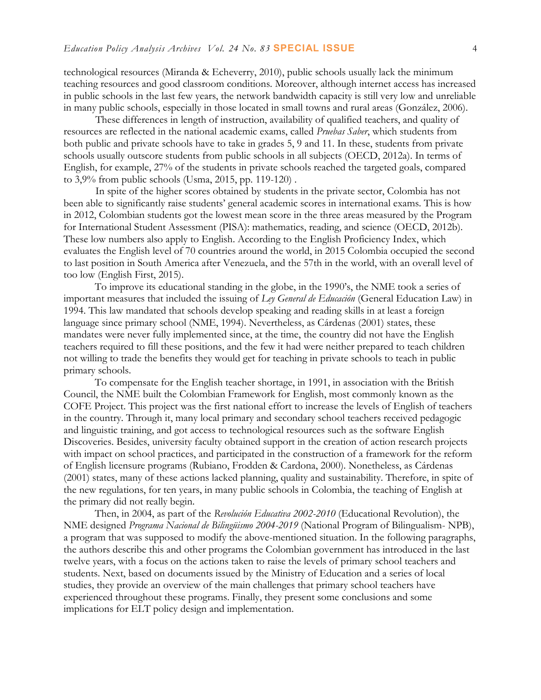technological resources (Miranda & Echeverry, 2010), public schools usually lack the minimum teaching resources and good classroom conditions. Moreover, although internet access has increased in public schools in the last few years, the network bandwidth capacity is still very low and unreliable in many public schools, especially in those located in small towns and rural areas (González, 2006).

These differences in length of instruction, availability of qualified teachers, and quality of resources are reflected in the national academic exams, called *Pruebas Saber*, which students from both public and private schools have to take in grades 5, 9 and 11. In these, students from private schools usually outscore students from public schools in all subjects (OECD, 2012a). In terms of English, for example, 27% of the students in private schools reached the targeted goals, compared to 3,9% from public schools (Usma, 2015, pp. 119-120) .

In spite of the higher scores obtained by students in the private sector, Colombia has not been able to significantly raise students' general academic scores in international exams. This is how in 2012, Colombian students got the lowest mean score in the three areas measured by the Program for International Student Assessment (PISA): mathematics, reading, and science (OECD, 2012b). These low numbers also apply to English. According to the English Proficiency Index, which evaluates the English level of 70 countries around the world, in 2015 Colombia occupied the second to last position in South America after Venezuela, and the 57th in the world, with an overall level of too low (English First, 2015).

To improve its educational standing in the globe, in the 1990's, the NME took a series of important measures that included the issuing of *Ley General de Educación* (General Education Law) in 1994. This law mandated that schools develop speaking and reading skills in at least a foreign language since primary school (NME, 1994). Nevertheless, as Cárdenas (2001) states, these mandates were never fully implemented since, at the time, the country did not have the English teachers required to fill these positions, and the few it had were neither prepared to teach children not willing to trade the benefits they would get for teaching in private schools to teach in public primary schools.

To compensate for the English teacher shortage, in 1991, in association with the British Council, the NME built the Colombian Framework for English, most commonly known as the COFE Project. This project was the first national effort to increase the levels of English of teachers in the country. Through it, many local primary and secondary school teachers received pedagogic and linguistic training, and got access to technological resources such as the software English Discoveries. Besides, university faculty obtained support in the creation of action research projects with impact on school practices, and participated in the construction of a framework for the reform of English licensure programs (Rubiano, Frodden & Cardona, 2000). Nonetheless, as Cárdenas (2001) states, many of these actions lacked planning, quality and sustainability. Therefore, in spite of the new regulations, for ten years, in many public schools in Colombia, the teaching of English at the primary did not really begin.

Then, in 2004, as part of the *Revolución Educativa 2002-2010* (Educational Revolution), the NME designed *Programa Nacional de Bilingüismo 2004-2019* (National Program of Bilingualism- NPB), a program that was supposed to modify the above-mentioned situation. In the following paragraphs, the authors describe this and other programs the Colombian government has introduced in the last twelve years, with a focus on the actions taken to raise the levels of primary school teachers and students. Next, based on documents issued by the Ministry of Education and a series of local studies, they provide an overview of the main challenges that primary school teachers have experienced throughout these programs. Finally, they present some conclusions and some implications for ELT policy design and implementation.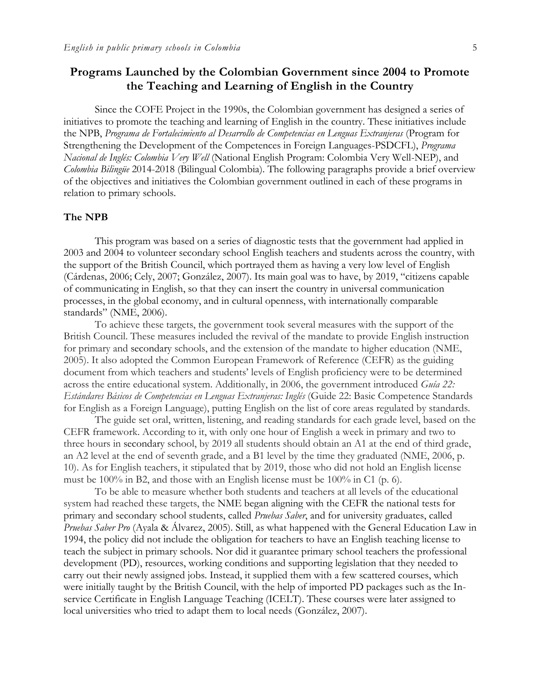## **Programs Launched by the Colombian Government since 2004 to Promote the Teaching and Learning of English in the Country**

Since the COFE Project in the 1990s, the Colombian government has designed a series of initiatives to promote the teaching and learning of English in the country. These initiatives include the NPB, *Programa de Fortalecimiento al Desarrollo de Competencias en Lenguas Extranjeras* (Program for Strengthening the Development of the Competences in Foreign Languages-PSDCFL), *Programa Nacional de Inglés: Colombia Very Well* (National English Program: Colombia Very Well-NEP), and *Colombia Bilingüe* 2014-2018 (Bilingual Colombia). The following paragraphs provide a brief overview of the objectives and initiatives the Colombian government outlined in each of these programs in relation to primary schools.

#### **The NPB**

This program was based on a series of diagnostic tests that the government had applied in 2003 and 2004 to volunteer secondary school English teachers and students across the country, with the support of the British Council, which portrayed them as having a very low level of English (Cárdenas, 2006; Cely, 2007; González, 2007). Its main goal was to have, by 2019, "citizens capable of communicating in English, so that they can insert the country in universal communication processes, in the global economy, and in cultural openness, with internationally comparable standards" (NME, 2006).

To achieve these targets, the government took several measures with the support of the British Council. These measures included the revival of the mandate to provide English instruction for primary and secondary schools, and the extension of the mandate to higher education (NME, 2005). It also adopted the Common European Framework of Reference (CEFR) as the guiding document from which teachers and students' levels of English proficiency were to be determined across the entire educational system. Additionally, in 2006, the government introduced *Guía 22: Estándares Básicos de Competencias en Lenguas Extranjeras: Inglés* (Guide 22: Basic Competence Standards for English as a Foreign Language), putting English on the list of core areas regulated by standards.

The guide set oral, written, listening, and reading standards for each grade level, based on the CEFR framework. According to it, with only one hour of English a week in primary and two to three hours in secondary school, by 2019 all students should obtain an A1 at the end of third grade, an A2 level at the end of seventh grade, and a B1 level by the time they graduated (NME, 2006, p. 10). As for English teachers, it stipulated that by 2019, those who did not hold an English license must be 100% in B2, and those with an English license must be 100% in C1 (p. 6).

To be able to measure whether both students and teachers at all levels of the educational system had reached these targets, the NME began aligning with the CEFR the national tests for primary and secondary school students, called *Pruebas Saber*, and for university graduates, called *Pruebas Saber Pro* (Ayala & Álvarez, 2005). Still, as what happened with the General Education Law in 1994, the policy did not include the obligation for teachers to have an English teaching license to teach the subject in primary schools. Nor did it guarantee primary school teachers the professional development (PD), resources, working conditions and supporting legislation that they needed to carry out their newly assigned jobs. Instead, it supplied them with a few scattered courses, which were initially taught by the British Council, with the help of imported PD packages such as the Inservice Certificate in English Language Teaching (ICELT). These courses were later assigned to local universities who tried to adapt them to local needs (González, 2007).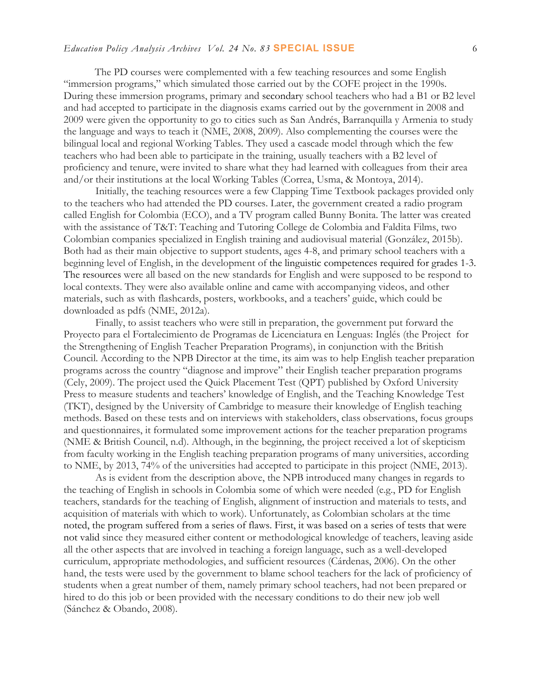The PD courses were complemented with a few teaching resources and some English "immersion programs," which simulated those carried out by the COFE project in the 1990s. During these immersion programs, primary and secondary school teachers who had a B1 or B2 level and had accepted to participate in the diagnosis exams carried out by the government in 2008 and 2009 were given the opportunity to go to cities such as San Andrés, Barranquilla y Armenia to study the language and ways to teach it (NME, 2008, 2009). Also complementing the courses were the bilingual local and regional Working Tables. They used a cascade model through which the few teachers who had been able to participate in the training, usually teachers with a B2 level of proficiency and tenure, were invited to share what they had learned with colleagues from their area and/or their institutions at the local Working Tables (Correa, Usma, & Montoya, 2014).

Initially, the teaching resources were a few Clapping Time Textbook packages provided only to the teachers who had attended the PD courses. Later, the government created a radio program called English for Colombia (ECO), and a TV program called Bunny Bonita. The latter was created with the assistance of T&T: Teaching and Tutoring College de Colombia and Faldita Films, two Colombian companies specialized in English training and audiovisual material (González, 2015b). Both had as their main objective to support students, ages 4-8, and primary school teachers with a beginning level of English, in the development of the linguistic competences required for grades 1-3. The resources were all based on the new standards for English and were supposed to be respond to local contexts. They were also available online and came with accompanying videos, and other materials, such as with flashcards, posters, workbooks, and a teachers' guide, which could be downloaded as pdfs (NME, 2012a).

Finally, to assist teachers who were still in preparation, the government put forward the Proyecto para el Fortalecimiento de Programas de Licenciatura en Lenguas: Inglés (the Project for the Strengthening of English Teacher Preparation Programs), in conjunction with the British Council. According to the NPB Director at the time, its aim was to help English teacher preparation programs across the country "diagnose and improve" their English teacher preparation programs (Cely, 2009). The project used the Quick Placement Test (QPT) published by Oxford University Press to measure students and teachers' knowledge of English, and the Teaching Knowledge Test (TKT), designed by the University of Cambridge to measure their knowledge of English teaching methods. Based on these tests and on interviews with stakeholders, class observations, focus groups and questionnaires, it formulated some improvement actions for the teacher preparation programs (NME & British Council, n.d). Although, in the beginning, the project received a lot of skepticism from faculty working in the English teaching preparation programs of many universities, according to NME, by 2013, 74% of the universities had accepted to participate in this project (NME, 2013).

As is evident from the description above, the NPB introduced many changes in regards to the teaching of English in schools in Colombia some of which were needed (e.g., PD for English teachers, standards for the teaching of English, alignment of instruction and materials to tests, and acquisition of materials with which to work). Unfortunately, as Colombian scholars at the time noted, the program suffered from a series of flaws. First, it was based on a series of tests that were not valid since they measured either content or methodological knowledge of teachers, leaving aside all the other aspects that are involved in teaching a foreign language, such as a well-developed curriculum, appropriate methodologies, and sufficient resources (Cárdenas, 2006). On the other hand, the tests were used by the government to blame school teachers for the lack of proficiency of students when a great number of them, namely primary school teachers, had not been prepared or hired to do this job or been provided with the necessary conditions to do their new job well (Sánchez & Obando, 2008).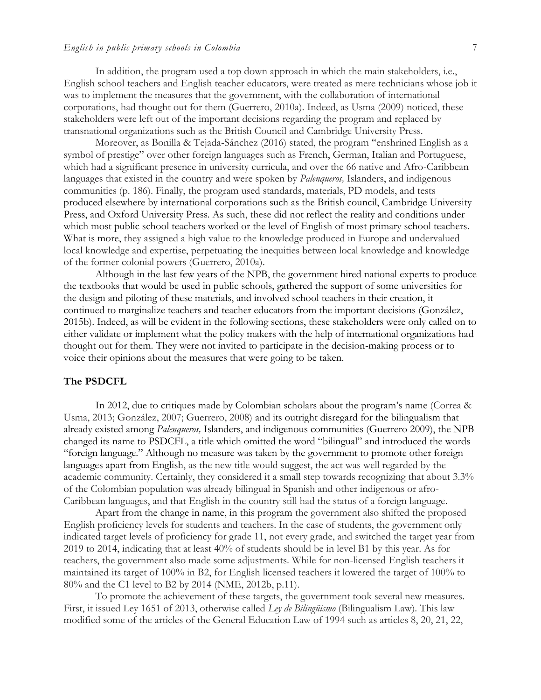#### *English in public primary schools in Colombia* 7

In addition, the program used a top down approach in which the main stakeholders, i.e., English school teachers and English teacher educators, were treated as mere technicians whose job it was to implement the measures that the government, with the collaboration of international corporations, had thought out for them (Guerrero, 2010a). Indeed, as Usma (2009) noticed, these stakeholders were left out of the important decisions regarding the program and replaced by transnational organizations such as the British Council and Cambridge University Press.

Moreover, as Bonilla & Tejada-Sánchez (2016) stated, the program "enshrined English as a symbol of prestige" over other foreign languages such as French, German, Italian and Portuguese, which had a significant presence in university curricula, and over the 66 native and Afro-Caribbean languages that existed in the country and were spoken by *Palenqueros,* Islanders, and indigenous communities (p. 186). Finally, the program used standards, materials, PD models, and tests produced elsewhere by international corporations such as the British council, Cambridge University Press, and Oxford University Press. As such, these did not reflect the reality and conditions under which most public school teachers worked or the level of English of most primary school teachers. What is more, they assigned a high value to the knowledge produced in Europe and undervalued local knowledge and expertise, perpetuating the inequities between local knowledge and knowledge of the former colonial powers (Guerrero, 2010a).

Although in the last few years of the NPB, the government hired national experts to produce the textbooks that would be used in public schools, gathered the support of some universities for the design and piloting of these materials, and involved school teachers in their creation, it continued to marginalize teachers and teacher educators from the important decisions (González, 2015b). Indeed, as will be evident in the following sections, these stakeholders were only called on to either validate or implement what the policy makers with the help of international organizations had thought out for them. They were not invited to participate in the decision-making process or to voice their opinions about the measures that were going to be taken.

#### **The PSDCFL**

In 2012, due to critiques made by Colombian scholars about the program's name (Correa & Usma, 2013; González, 2007; Guerrero, 2008) and its outright disregard for the bilingualism that already existed among *Palenqueros,* Islanders, and indigenous communities (Guerrero 2009), the NPB changed its name to PSDCFL, a title which omitted the word "bilingual" and introduced the words "foreign language." Although no measure was taken by the government to promote other foreign languages apart from English, as the new title would suggest, the act was well regarded by the academic community. Certainly, they considered it a small step towards recognizing that about 3.3% of the Colombian population was already bilingual in Spanish and other indigenous or afro-Caribbean languages, and that English in the country still had the status of a foreign language.

Apart from the change in name, in this program the government also shifted the proposed English proficiency levels for students and teachers. In the case of students, the government only indicated target levels of proficiency for grade 11, not every grade, and switched the target year from 2019 to 2014, indicating that at least 40% of students should be in level B1 by this year. As for teachers, the government also made some adjustments. While for non-licensed English teachers it maintained its target of 100% in B2, for English licensed teachers it lowered the target of 100% to 80% and the C1 level to B2 by 2014 (NME, 2012b, p.11).

To promote the achievement of these targets, the government took several new measures. First, it issued Ley 1651 of 2013, otherwise called *Ley de Bilingüismo* (Bilingualism Law). This law modified some of the articles of the General Education Law of 1994 such as articles 8, 20, 21, 22,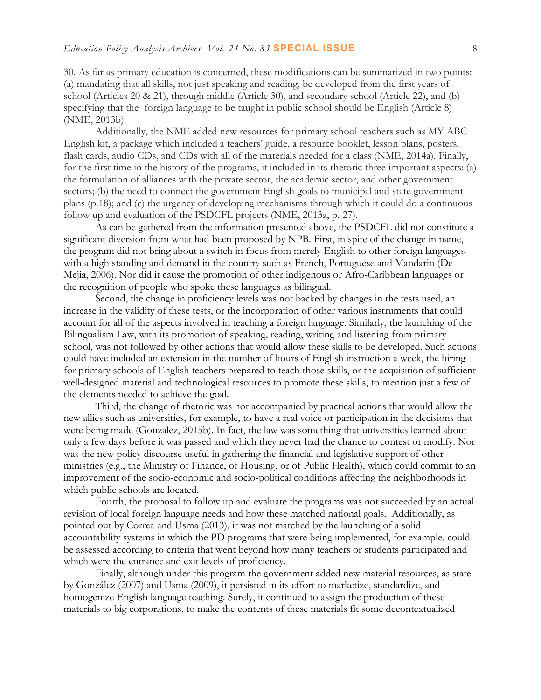30. As far as primary education is concerned, these modifications can be summarized in two points: (a) mandating that all skills, not just speaking and reading, be developed from the first years of school (Articles 20 & 21), through middle (Article 30), and secondary school (Article 22), and (b) specifying that the foreign language to be taught in public school should be English (Article 8) (NME, 2013b).

Additionally, the NME added new resources for primary school teachers such as MY ABC English kit, a package which included a teachers' guide, a resource booklet, lesson plans, posters, flash cards, audio CDs, and CDs with all of the materials needed for a class (NME, 2014a). Finally, for the first time in the history of the programs, it included in its rhetoric three important aspects: (a) the formulation of alliances with the private sector, the academic sector, and other government sectors; (b) the need to connect the government English goals to municipal and state government plans (p.18); and (c) the urgency of developing mechanisms through which it could do a continuous follow up and evaluation of the PSDCFL projects (NME, 2013a, p. 27).

As can be gathered from the information presented above, the PSDCFL did not constitute a significant diversion from what had been proposed by NPB. First, in spite of the change in name, the program did not bring about a switch in focus from merely English to other foreign languages with a high standing and demand in the country such as French, Portuguese and Mandarin (De Mejia, 2006). Nor did it cause the promotion of other indigenous or Afro-Caribbean languages or the recognition of people who spoke these languages as bilingual.

Second, the change in proficiency levels was not backed by changes in the tests used, an increase in the validity of these tests, or the incorporation of other various instruments that could account for all of the aspects involved in teaching a foreign language. Similarly, the launching of the Bilingualism Law, with its promotion of speaking, reading, writing and listening from primary school, was not followed by other actions that would allow these skills to be developed. Such actions could have included an extension in the number of hours of English instruction a week, the hiring for primary schools of English teachers prepared to teach those skills, or the acquisition of sufficient well-designed material and technological resources to promote these skills, to mention just a few of the elements needed to achieve the goal.

Third, the change of rhetoric was not accompanied by practical actions that would allow the new allies such as universities, for example, to have a real voice or participation in the decisions that were being made (González, 2015b). In fact, the law was something that universities learned about only a few days before it was passed and which they never had the chance to contest or modify. Nor was the new policy discourse useful in gathering the financial and legislative support of other ministries (e.g., the Ministry of Finance, of Housing, or of Public Health), which could commit to an improvement of the socio-economic and socio-political conditions affecting the neighborhoods in which public schools are located.

Fourth, the proposal to follow up and evaluate the programs was not succeeded by an actual revision of local foreign language needs and how these matched national goals. Additionally, as pointed out by Correa and Usma (2013), it was not matched by the launching of a solid accountability systems in which the PD programs that were being implemented, for example, could be assessed according to criteria that went beyond how many teachers or students participated and which were the entrance and exit levels of proficiency.

Finally, although under this program the government added new material resources, as state by González (2007) and Usma (2009), it persisted in its effort to marketize, standardize, and homogenize English language teaching. Surely, it continued to assign the production of these materials to big corporations, to make the contents of these materials fit some decontextualized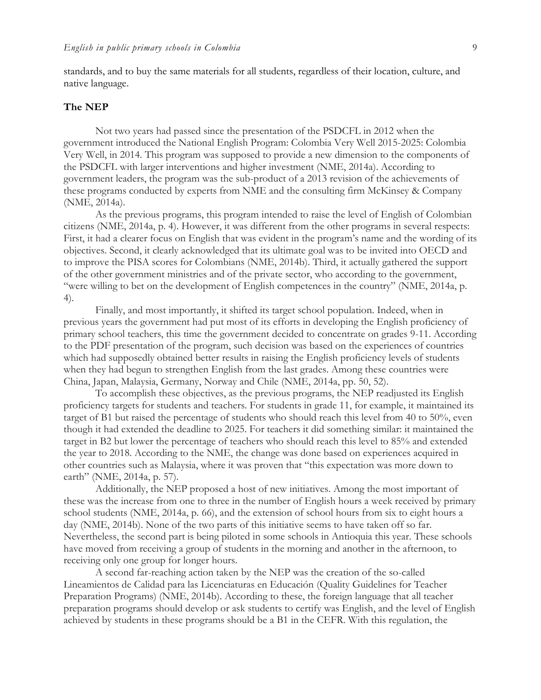standards, and to buy the same materials for all students, regardless of their location, culture, and native language.

### **The NEP**

Not two years had passed since the presentation of the PSDCFL in 2012 when the government introduced the National English Program: Colombia Very Well 2015-2025: Colombia Very Well, in 2014. This program was supposed to provide a new dimension to the components of the PSDCFL with larger interventions and higher investment (NME, 2014a). According to government leaders, the program was the sub-product of a 2013 revision of the achievements of these programs conducted by experts from NME and the consulting firm McKinsey & Company (NME, 2014a).

As the previous programs, this program intended to raise the level of English of Colombian citizens (NME, 2014a, p. 4). However, it was different from the other programs in several respects: First, it had a clearer focus on English that was evident in the program's name and the wording of its objectives. Second, it clearly acknowledged that its ultimate goal was to be invited into OECD and to improve the PISA scores for Colombians (NME, 2014b). Third, it actually gathered the support of the other government ministries and of the private sector, who according to the government, "were willing to bet on the development of English competences in the country" (NME, 2014a, p. 4).

Finally, and most importantly, it shifted its target school population. Indeed, when in previous years the government had put most of its efforts in developing the English proficiency of primary school teachers, this time the government decided to concentrate on grades 9-11. According to the PDF presentation of the program, such decision was based on the experiences of countries which had supposedly obtained better results in raising the English proficiency levels of students when they had begun to strengthen English from the last grades. Among these countries were China, Japan, Malaysia, Germany, Norway and Chile (NME, 2014a, pp. 50, 52).

To accomplish these objectives, as the previous programs, the NEP readjusted its English proficiency targets for students and teachers. For students in grade 11, for example, it maintained its target of B1 but raised the percentage of students who should reach this level from 40 to 50%, even though it had extended the deadline to 2025. For teachers it did something similar: it maintained the target in B2 but lower the percentage of teachers who should reach this level to 85% and extended the year to 2018. According to the NME, the change was done based on experiences acquired in other countries such as Malaysia, where it was proven that "this expectation was more down to earth" (NME, 2014a, p. 57).

Additionally, the NEP proposed a host of new initiatives. Among the most important of these was the increase from one to three in the number of English hours a week received by primary school students (NME, 2014a, p. 66), and the extension of school hours from six to eight hours a day (NME, 2014b). None of the two parts of this initiative seems to have taken off so far. Nevertheless, the second part is being piloted in some schools in Antioquia this year. These schools have moved from receiving a group of students in the morning and another in the afternoon, to receiving only one group for longer hours.

A second far-reaching action taken by the NEP was the creation of the so-called Lineamientos de Calidad para las Licenciaturas en Educación (Quality Guidelines for Teacher Preparation Programs) (NME, 2014b). According to these, the foreign language that all teacher preparation programs should develop or ask students to certify was English, and the level of English achieved by students in these programs should be a B1 in the CEFR. With this regulation, the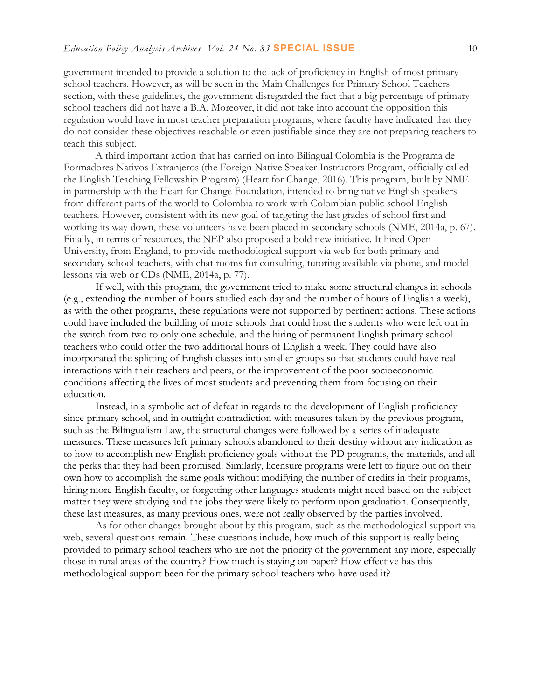government intended to provide a solution to the lack of proficiency in English of most primary school teachers. However, as will be seen in the Main Challenges for Primary School Teachers section, with these guidelines, the government disregarded the fact that a big percentage of primary school teachers did not have a B.A. Moreover, it did not take into account the opposition this regulation would have in most teacher preparation programs, where faculty have indicated that they do not consider these objectives reachable or even justifiable since they are not preparing teachers to teach this subject.

A third important action that has carried on into Bilingual Colombia is the Programa de Formadores Nativos Extranjeros (the Foreign Native Speaker Instructors Program, officially called the English Teaching Fellowship Program) (Heart for Change, 2016). This program, built by NME in partnership with the Heart for Change Foundation, intended to bring native English speakers from different parts of the world to Colombia to work with Colombian public school English teachers. However, consistent with its new goal of targeting the last grades of school first and working its way down, these volunteers have been placed in secondary schools (NME, 2014a, p. 67). Finally, in terms of resources, the NEP also proposed a bold new initiative. It hired Open University, from England, to provide methodological support via web for both primary and secondary school teachers, with chat rooms for consulting, tutoring available via phone, and model lessons via web or CDs (NME, 2014a, p. 77).

If well, with this program, the government tried to make some structural changes in schools (e.g., extending the number of hours studied each day and the number of hours of English a week), as with the other programs, these regulations were not supported by pertinent actions. These actions could have included the building of more schools that could host the students who were left out in the switch from two to only one schedule, and the hiring of permanent English primary school teachers who could offer the two additional hours of English a week. They could have also incorporated the splitting of English classes into smaller groups so that students could have real interactions with their teachers and peers, or the improvement of the poor socioeconomic conditions affecting the lives of most students and preventing them from focusing on their education.

Instead, in a symbolic act of defeat in regards to the development of English proficiency since primary school, and in outright contradiction with measures taken by the previous program, such as the Bilingualism Law, the structural changes were followed by a series of inadequate measures. These measures left primary schools abandoned to their destiny without any indication as to how to accomplish new English proficiency goals without the PD programs, the materials, and all the perks that they had been promised. Similarly, licensure programs were left to figure out on their own how to accomplish the same goals without modifying the number of credits in their programs, hiring more English faculty, or forgetting other languages students might need based on the subject matter they were studying and the jobs they were likely to perform upon graduation. Consequently, these last measures, as many previous ones, were not really observed by the parties involved.

As for other changes brought about by this program, such as the methodological support via web, several questions remain. These questions include, how much of this support is really being provided to primary school teachers who are not the priority of the government any more, especially those in rural areas of the country? How much is staying on paper? How effective has this methodological support been for the primary school teachers who have used it?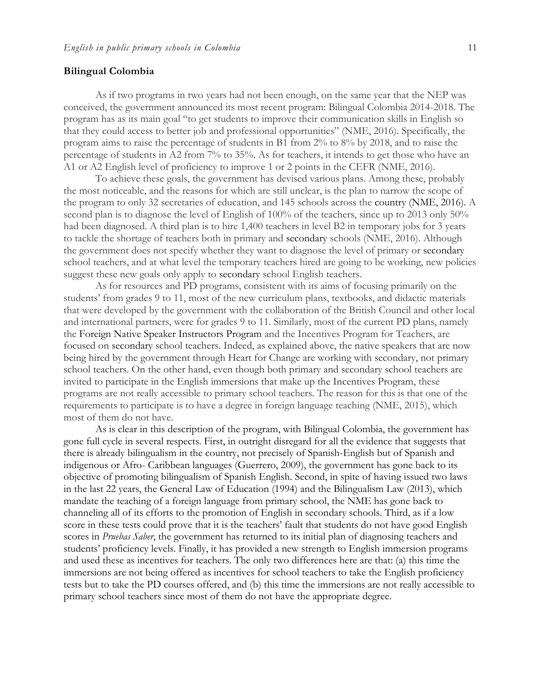#### **Bilingual Colombia**

As if two programs in two years had not been enough, on the same year that the NEP was conceived, the government announced its most recent program: Bilingual Colombia 2014-2018. The program has as its main goal "to get students to improve their communication skills in English so that they could access to better job and professional opportunities" (NME, 2016). Specifically, the program aims to raise the percentage of students in B1 from 2% to 8% by 2018, and to raise the percentage of students in A2 from 7% to 35%. As for teachers, it intends to get those who have an A1 or A2 English level of proficiency to improve 1 or 2 points in the CEFR (NME, 2016).

To achieve these goals, the government has devised various plans. Among these, probably the most noticeable, and the reasons for which are still unclear, is the plan to narrow the scope of the program to only 32 secretaries of education, and 145 schools across the country (NME, 2016). A second plan is to diagnose the level of English of 100% of the teachers, since up to 2013 only 50% had been diagnosed. A third plan is to hire 1,400 teachers in level B2 in temporary jobs for 3 years to tackle the shortage of teachers both in primary and secondary schools (NME, 2016). Although the government does not specify whether they want to diagnose the level of primary or secondary school teachers, and at what level the temporary teachers hired are going to be working, new policies suggest these new goals only apply to secondary school English teachers.

As for resources and PD programs, consistent with its aims of focusing primarily on the students' from grades 9 to 11, most of the new curriculum plans, textbooks, and didactic materials that were developed by the government with the collaboration of the British Council and other local and international partners, were for grades 9 to 11. Similarly, most of the current PD plans, namely the Foreign Native Speaker Instructors Program and the Incentives Program for Teachers, are focused on secondary school teachers. Indeed, as explained above, the native speakers that are now being hired by the government through Heart for Change are working with secondary, not primary school teachers. On the other hand, even though both primary and secondary school teachers are invited to participate in the English immersions that make up the Incentives Program, these programs are not really accessible to primary school teachers. The reason for this is that one of the requirements to participate is to have a degree in foreign language teaching (NME, 2015), which most of them do not have.

As is clear in this description of the program, with Bilingual Colombia, the government has gone full cycle in several respects. First, in outright disregard for all the evidence that suggests that there is already bilingualism in the country, not precisely of Spanish-English but of Spanish and indigenous or Afro- Caribbean languages (Guerrero, 2009), the government has gone back to its objective of promoting bilingualism of Spanish English. Second, in spite of having issued two laws in the last 22 years, the General Law of Education (1994) and the Bilingualism Law (2013), which mandate the teaching of a foreign language from primary school, the NME has gone back to channeling all of its efforts to the promotion of English in secondary schools. Third, as if a low score in these tests could prove that it is the teachers' fault that students do not have good English scores in *Pruebas Saber*, the government has returned to its initial plan of diagnosing teachers and students' proficiency levels. Finally, it has provided a new strength to English immersion programs and used these as incentives for teachers. The only two differences here are that: (a) this time the immersions are not being offered as incentives for school teachers to take the English proficiency tests but to take the PD courses offered, and (b) this time the immersions are not really accessible to primary school teachers since most of them do not have the appropriate degree.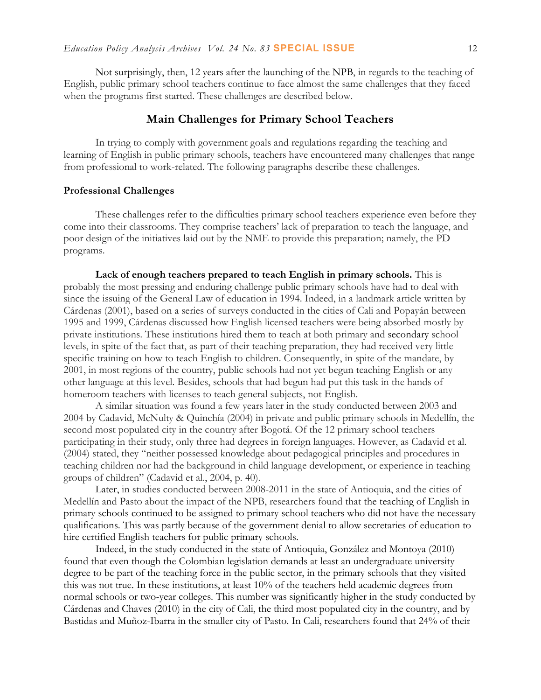Not surprisingly, then, 12 years after the launching of the NPB, in regards to the teaching of English, public primary school teachers continue to face almost the same challenges that they faced when the programs first started. These challenges are described below.

### **Main Challenges for Primary School Teachers**

In trying to comply with government goals and regulations regarding the teaching and learning of English in public primary schools, teachers have encountered many challenges that range from professional to work-related. The following paragraphs describe these challenges.

#### **Professional Challenges**

These challenges refer to the difficulties primary school teachers experience even before they come into their classrooms. They comprise teachers' lack of preparation to teach the language, and poor design of the initiatives laid out by the NME to provide this preparation; namely, the PD programs.

**Lack of enough teachers prepared to teach English in primary schools.** This is probably the most pressing and enduring challenge public primary schools have had to deal with since the issuing of the General Law of education in 1994. Indeed, in a landmark article written by Cárdenas (2001), based on a series of surveys conducted in the cities of Cali and Popayán between 1995 and 1999, Cárdenas discussed how English licensed teachers were being absorbed mostly by private institutions. These institutions hired them to teach at both primary and secondary school levels, in spite of the fact that, as part of their teaching preparation, they had received very little specific training on how to teach English to children. Consequently, in spite of the mandate, by 2001, in most regions of the country, public schools had not yet begun teaching English or any other language at this level. Besides, schools that had begun had put this task in the hands of homeroom teachers with licenses to teach general subjects, not English.

A similar situation was found a few years later in the study conducted between 2003 and 2004 by Cadavid, McNulty & Quinchía (2004) in private and public primary schools in Medellín, the second most populated city in the country after Bogotá. Of the 12 primary school teachers participating in their study, only three had degrees in foreign languages. However, as Cadavid et al. (2004) stated, they "neither possessed knowledge about pedagogical principles and procedures in teaching children nor had the background in child language development, or experience in teaching groups of children" (Cadavid et al., 2004, p. 40).

Later, in studies conducted between 2008-2011 in the state of Antioquia, and the cities of Medellín and Pasto about the impact of the NPB, researchers found that the teaching of English in primary schools continued to be assigned to primary school teachers who did not have the necessary qualifications. This was partly because of the government denial to allow secretaries of education to hire certified English teachers for public primary schools.

Indeed, in the study conducted in the state of Antioquia, González and Montoya (2010) found that even though the Colombian legislation demands at least an undergraduate university degree to be part of the teaching force in the public sector, in the primary schools that they visited this was not true. In these institutions, at least 10% of the teachers held academic degrees from normal schools or two-year colleges. This number was significantly higher in the study conducted by Cárdenas and Chaves (2010) in the city of Cali, the third most populated city in the country, and by Bastidas and Muñoz-Ibarra in the smaller city of Pasto. In Cali, researchers found that 24% of their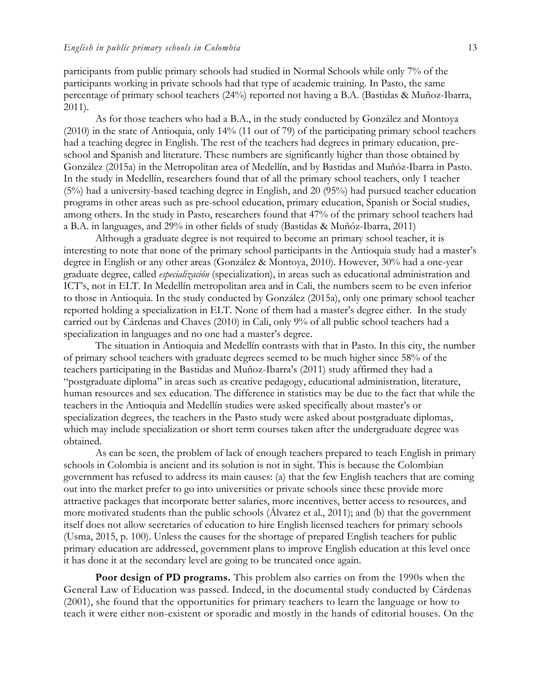participants from public primary schools had studied in Normal Schools while only 7% of the participants working in private schools had that type of academic training. In Pasto, the same percentage of primary school teachers (24%) reported not having a B.A. (Bastidas & Muñoz-Ibarra, 2011).

As for those teachers who had a B.A., in the study conducted by González and Montoya (2010) in the state of Antioquia, only 14% (11 out of 79) of the participating primary school teachers had a teaching degree in English. The rest of the teachers had degrees in primary education, preschool and Spanish and literature. These numbers are significantly higher than those obtained by González (2015a) in the Metropolitan area of Medellín, and by Bastidas and Muñóz-Ibarra in Pasto. In the study in Medellín, researchers found that of all the primary school teachers, only 1 teacher (5%) had a university-based teaching degree in English, and 20 (95%) had pursued teacher education programs in other areas such as pre-school education, primary education, Spanish or Social studies, among others. In the study in Pasto, researchers found that 47% of the primary school teachers had a B.A. in languages, and 29% in other fields of study (Bastidas & Muñóz-Ibarra, 2011)

Although a graduate degree is not required to become an primary school teacher, it is interesting to note that none of the primary school participants in the Antioquia study had a master's degree in English or any other areas (González & Montoya, 2010). However, 30% had a one-year graduate degree, called *especialización* (specialization), in areas such as educational administration and ICT's, not in ELT. In Medellín metropolitan area and in Cali, the numbers seem to be even inferior to those in Antioquia. In the study conducted by González (2015a), only one primary school teacher reported holding a specialization in ELT. None of them had a master's degree either. In the study carried out by Cárdenas and Chaves (2010) in Cali, only 9% of all public school teachers had a specialization in languages and no one had a master's degree.

The situation in Antioquia and Medellín contrasts with that in Pasto. In this city, the number of primary school teachers with graduate degrees seemed to be much higher since 58% of the teachers participating in the Bastidas and Muñoz-Ibarra's (2011) study affirmed they had a "postgraduate diploma" in areas such as creative pedagogy, educational administration, literature, human resources and sex education. The difference in statistics may be due to the fact that while the teachers in the Antioquia and Medellín studies were asked specifically about master's or specialization degrees, the teachers in the Pasto study were asked about postgraduate diplomas, which may include specialization or short term courses taken after the undergraduate degree was obtained.

As can be seen, the problem of lack of enough teachers prepared to teach English in primary schools in Colombia is ancient and its solution is not in sight. This is because the Colombian government has refused to address its main causes: (a) that the few English teachers that are coming out into the market prefer to go into universities or private schools since these provide more attractive packages that incorporate better salaries, more incentives, better access to resources, and more motivated students than the public schools (Álvarez et al., 2011); and (b) that the government itself does not allow secretaries of education to hire English licensed teachers for primary schools (Usma, 2015, p. 100). Unless the causes for the shortage of prepared English teachers for public primary education are addressed, government plans to improve English education at this level once it has done it at the secondary level are going to be truncated once again.

**Poor design of PD programs.** This problem also carries on from the 1990s when the General Law of Education was passed. Indeed, in the documental study conducted by Cárdenas (2001), she found that the opportunities for primary teachers to learn the language or how to teach it were either non-existent or sporadic and mostly in the hands of editorial houses. On the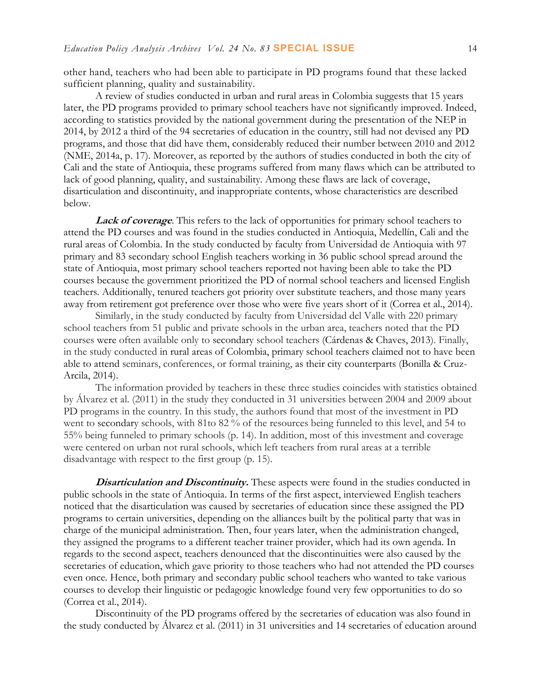other hand, teachers who had been able to participate in PD programs found that these lacked sufficient planning, quality and sustainability.

A review of studies conducted in urban and rural areas in Colombia suggests that 15 years later, the PD programs provided to primary school teachers have not significantly improved. Indeed, according to statistics provided by the national government during the presentation of the NEP in 2014, by 2012 a third of the 94 secretaries of education in the country, still had not devised any PD programs, and those that did have them, considerably reduced their number between 2010 and 2012 (NME, 2014a, p. 17). Moreover, as reported by the authors of studies conducted in both the city of Cali and the state of Antioquia, these programs suffered from many flaws which can be attributed to lack of good planning, quality, and sustainability. Among these flaws are lack of coverage, disarticulation and discontinuity, and inappropriate contents, whose characteristics are described below.

**Lack of coverage**. This refers to the lack of opportunities for primary school teachers to attend the PD courses and was found in the studies conducted in Antioquia, Medellín, Cali and the rural areas of Colombia. In the study conducted by faculty from Universidad de Antioquia with 97 primary and 83 secondary school English teachers working in 36 public school spread around the state of Antioquia, most primary school teachers reported not having been able to take the PD courses because the government prioritized the PD of normal school teachers and licensed English teachers. Additionally, tenured teachers got priority over substitute teachers, and those many years away from retirement got preference over those who were five years short of it (Correa et al., 2014).

Similarly, in the study conducted by faculty from Universidad del Valle with 220 primary school teachers from 51 public and private schools in the urban area, teachers noted that the PD courses were often available only to secondary school teachers (Cárdenas & Chaves, 2013). Finally, in the study conducted in rural areas of Colombia, primary school teachers claimed not to have been able to attend seminars, conferences, or formal training, as their city counterparts (Bonilla & Cruz-Arcila, 2014).

The information provided by teachers in these three studies coincides with statistics obtained by Álvarez et al. (2011) in the study they conducted in 31 universities between 2004 and 2009 about PD programs in the country. In this study, the authors found that most of the investment in PD went to secondary schools, with 81to 82 % of the resources being funneled to this level, and 54 to 55% being funneled to primary schools (p. 14). In addition, most of this investment and coverage were centered on urban not rural schools, which left teachers from rural areas at a terrible disadvantage with respect to the first group (p. 15).

**Disarticulation and Discontinuity.** These aspects were found in the studies conducted in public schools in the state of Antioquia. In terms of the first aspect, interviewed English teachers noticed that the disarticulation was caused by secretaries of education since these assigned the PD programs to certain universities, depending on the alliances built by the political party that was in charge of the municipal administration. Then, four years later, when the administration changed, they assigned the programs to a different teacher trainer provider, which had its own agenda. In regards to the second aspect, teachers denounced that the discontinuities were also caused by the secretaries of education, which gave priority to those teachers who had not attended the PD courses even once. Hence, both primary and secondary public school teachers who wanted to take various courses to develop their linguistic or pedagogic knowledge found very few opportunities to do so (Correa et al., 2014).

Discontinuity of the PD programs offered by the secretaries of education was also found in the study conducted by Álvarez et al. (2011) in 31 universities and 14 secretaries of education around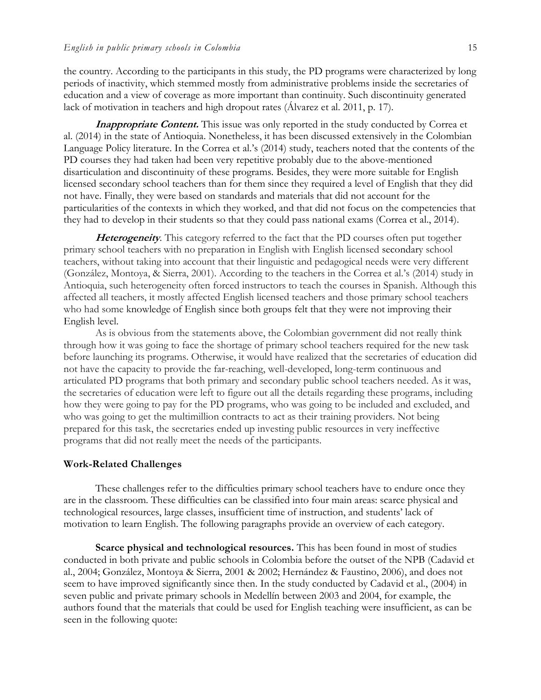the country. According to the participants in this study, the PD programs were characterized by long periods of inactivity, which stemmed mostly from administrative problems inside the secretaries of education and a view of coverage as more important than continuity. Such discontinuity generated lack of motivation in teachers and high dropout rates (Álvarez et al. 2011, p. 17).

**Inappropriate Content.** This issue was only reported in the study conducted by Correa et al. (2014) in the state of Antioquia. Nonetheless, it has been discussed extensively in the Colombian Language Policy literature. In the Correa et al.'s (2014) study, teachers noted that the contents of the PD courses they had taken had been very repetitive probably due to the above-mentioned disarticulation and discontinuity of these programs. Besides, they were more suitable for English licensed secondary school teachers than for them since they required a level of English that they did not have. Finally, they were based on standards and materials that did not account for the particularities of the contexts in which they worked, and that did not focus on the competencies that they had to develop in their students so that they could pass national exams (Correa et al., 2014).

**Heterogeneity**. This category referred to the fact that the PD courses often put together primary school teachers with no preparation in English with English licensed secondary school teachers, without taking into account that their linguistic and pedagogical needs were very different (González, Montoya, & Sierra, 2001). According to the teachers in the Correa et al.'s (2014) study in Antioquia, such heterogeneity often forced instructors to teach the courses in Spanish. Although this affected all teachers, it mostly affected English licensed teachers and those primary school teachers who had some knowledge of English since both groups felt that they were not improving their English level.

As is obvious from the statements above, the Colombian government did not really think through how it was going to face the shortage of primary school teachers required for the new task before launching its programs. Otherwise, it would have realized that the secretaries of education did not have the capacity to provide the far-reaching, well-developed, long-term continuous and articulated PD programs that both primary and secondary public school teachers needed. As it was, the secretaries of education were left to figure out all the details regarding these programs, including how they were going to pay for the PD programs, who was going to be included and excluded, and who was going to get the multimillion contracts to act as their training providers. Not being prepared for this task, the secretaries ended up investing public resources in very ineffective programs that did not really meet the needs of the participants.

#### **Work-Related Challenges**

These challenges refer to the difficulties primary school teachers have to endure once they are in the classroom. These difficulties can be classified into four main areas: scarce physical and technological resources, large classes, insufficient time of instruction, and students' lack of motivation to learn English. The following paragraphs provide an overview of each category.

**Scarce physical and technological resources.** This has been found in most of studies conducted in both private and public schools in Colombia before the outset of the NPB (Cadavid et al., 2004; González, Montoya & Sierra, 2001 & 2002; Hernández & Faustino, 2006), and does not seem to have improved significantly since then. In the study conducted by Cadavid et al., (2004) in seven public and private primary schools in Medellín between 2003 and 2004, for example, the authors found that the materials that could be used for English teaching were insufficient, as can be seen in the following quote: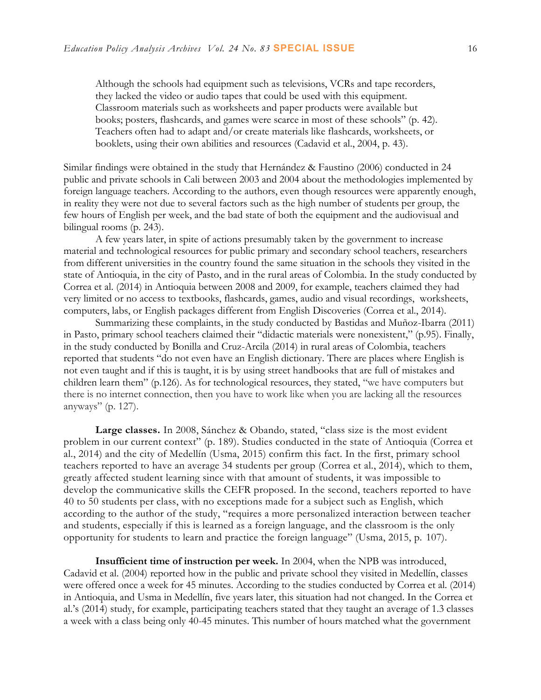Although the schools had equipment such as televisions, VCRs and tape recorders, they lacked the video or audio tapes that could be used with this equipment. Classroom materials such as worksheets and paper products were available but books; posters, flashcards, and games were scarce in most of these schools" (p. 42). Teachers often had to adapt and/or create materials like flashcards, worksheets, or booklets, using their own abilities and resources (Cadavid et al., 2004, p. 43).

Similar findings were obtained in the study that Hernández & Faustino (2006) conducted in 24 public and private schools in Cali between 2003 and 2004 about the methodologies implemented by foreign language teachers. According to the authors, even though resources were apparently enough, in reality they were not due to several factors such as the high number of students per group, the few hours of English per week, and the bad state of both the equipment and the audiovisual and bilingual rooms (p. 243).

A few years later, in spite of actions presumably taken by the government to increase material and technological resources for public primary and secondary school teachers, researchers from different universities in the country found the same situation in the schools they visited in the state of Antioquia, in the city of Pasto, and in the rural areas of Colombia. In the study conducted by Correa et al. (2014) in Antioquia between 2008 and 2009, for example, teachers claimed they had very limited or no access to textbooks, flashcards, games, audio and visual recordings, worksheets, computers, labs, or English packages different from English Discoveries (Correa et al., 2014).

Summarizing these complaints, in the study conducted by Bastidas and Muñoz-Ibarra (2011) in Pasto, primary school teachers claimed their "didactic materials were nonexistent," (p.95). Finally, in the study conducted by Bonilla and Cruz-Arcila (2014) in rural areas of Colombia, teachers reported that students "do not even have an English dictionary. There are places where English is not even taught and if this is taught, it is by using street handbooks that are full of mistakes and children learn them" (p.126). As for technological resources, they stated, "we have computers but there is no internet connection, then you have to work like when you are lacking all the resources anyways" (p. 127).

**Large classes.** In 2008, Sánchez & Obando, stated, "class size is the most evident problem in our current context" (p. 189). Studies conducted in the state of Antioquia (Correa et al., 2014) and the city of Medellín (Usma, 2015) confirm this fact. In the first, primary school teachers reported to have an average 34 students per group (Correa et al., 2014), which to them, greatly affected student learning since with that amount of students, it was impossible to develop the communicative skills the CEFR proposed. In the second, teachers reported to have 40 to 50 students per class, with no exceptions made for a subject such as English, which according to the author of the study, "requires a more personalized interaction between teacher and students, especially if this is learned as a foreign language, and the classroom is the only opportunity for students to learn and practice the foreign language" (Usma, 2015, p. 107).

**Insufficient time of instruction per week.** In 2004, when the NPB was introduced, Cadavid et al. (2004) reported how in the public and private school they visited in Medellín, classes were offered once a week for 45 minutes. According to the studies conducted by Correa et al. (2014) in Antioquia, and Usma in Medellín, five years later, this situation had not changed. In the Correa et al.'s (2014) study, for example, participating teachers stated that they taught an average of 1.3 classes a week with a class being only 40-45 minutes. This number of hours matched what the government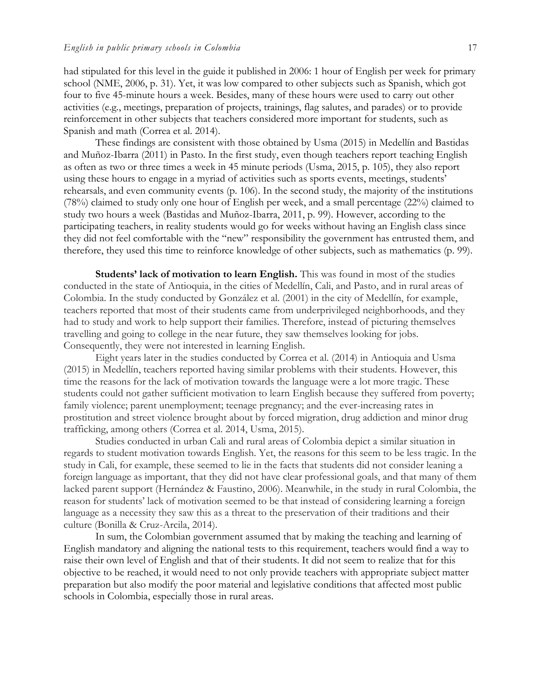had stipulated for this level in the guide it published in 2006: 1 hour of English per week for primary school (NME, 2006, p. 31). Yet, it was low compared to other subjects such as Spanish, which got four to five 45-minute hours a week. Besides, many of these hours were used to carry out other activities (e.g., meetings, preparation of projects, trainings, flag salutes, and parades) or to provide reinforcement in other subjects that teachers considered more important for students, such as Spanish and math (Correa et al. 2014).

These findings are consistent with those obtained by Usma (2015) in Medellín and Bastidas and Muñoz-Ibarra (2011) in Pasto. In the first study, even though teachers report teaching English as often as two or three times a week in 45 minute periods (Usma, 2015, p. 105), they also report using these hours to engage in a myriad of activities such as sports events, meetings, students' rehearsals, and even community events (p. 106). In the second study, the majority of the institutions (78%) claimed to study only one hour of English per week, and a small percentage (22%) claimed to study two hours a week (Bastidas and Muñoz-Ibarra, 2011, p. 99). However, according to the participating teachers, in reality students would go for weeks without having an English class since they did not feel comfortable with the "new" responsibility the government has entrusted them, and therefore, they used this time to reinforce knowledge of other subjects, such as mathematics (p. 99).

**Students' lack of motivation to learn English.** This was found in most of the studies conducted in the state of Antioquia, in the cities of Medellín, Cali, and Pasto, and in rural areas of Colombia. In the study conducted by González et al. (2001) in the city of Medellín, for example, teachers reported that most of their students came from underprivileged neighborhoods, and they had to study and work to help support their families. Therefore, instead of picturing themselves travelling and going to college in the near future, they saw themselves looking for jobs. Consequently, they were not interested in learning English.

Eight years later in the studies conducted by Correa et al. (2014) in Antioquia and Usma (2015) in Medellín, teachers reported having similar problems with their students. However, this time the reasons for the lack of motivation towards the language were a lot more tragic. These students could not gather sufficient motivation to learn English because they suffered from poverty; family violence; parent unemployment; teenage pregnancy; and the ever-increasing rates in prostitution and street violence brought about by forced migration, drug addiction and minor drug trafficking, among others (Correa et al. 2014, Usma, 2015).

Studies conducted in urban Cali and rural areas of Colombia depict a similar situation in regards to student motivation towards English. Yet, the reasons for this seem to be less tragic. In the study in Cali, for example, these seemed to lie in the facts that students did not consider leaning a foreign language as important, that they did not have clear professional goals, and that many of them lacked parent support (Hernández & Faustino, 2006). Meanwhile, in the study in rural Colombia, the reason for students' lack of motivation seemed to be that instead of considering learning a foreign language as a necessity they saw this as a threat to the preservation of their traditions and their culture (Bonilla & Cruz-Arcila, 2014).

In sum, the Colombian government assumed that by making the teaching and learning of English mandatory and aligning the national tests to this requirement, teachers would find a way to raise their own level of English and that of their students. It did not seem to realize that for this objective to be reached, it would need to not only provide teachers with appropriate subject matter preparation but also modify the poor material and legislative conditions that affected most public schools in Colombia, especially those in rural areas.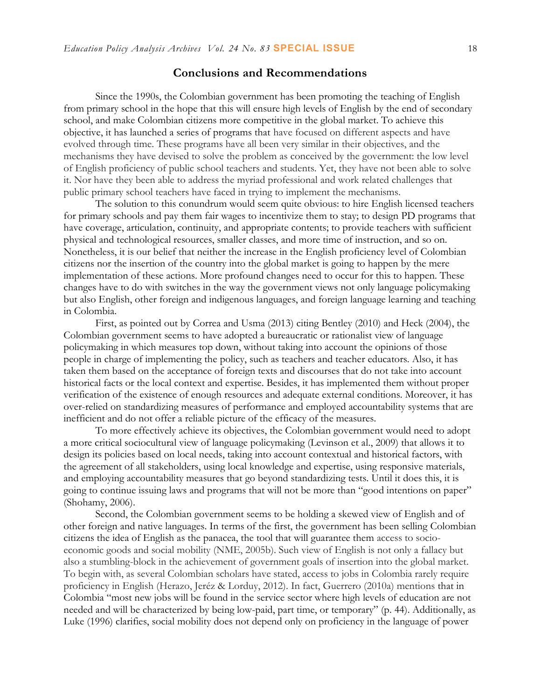## **Conclusions and Recommendations**

Since the 1990s, the Colombian government has been promoting the teaching of English from primary school in the hope that this will ensure high levels of English by the end of secondary school, and make Colombian citizens more competitive in the global market. To achieve this objective, it has launched a series of programs that have focused on different aspects and have evolved through time. These programs have all been very similar in their objectives, and the mechanisms they have devised to solve the problem as conceived by the government: the low level of English proficiency of public school teachers and students. Yet, they have not been able to solve it. Nor have they been able to address the myriad professional and work related challenges that public primary school teachers have faced in trying to implement the mechanisms.

The solution to this conundrum would seem quite obvious: to hire English licensed teachers for primary schools and pay them fair wages to incentivize them to stay; to design PD programs that have coverage, articulation, continuity, and appropriate contents; to provide teachers with sufficient physical and technological resources, smaller classes, and more time of instruction, and so on. Nonetheless, it is our belief that neither the increase in the English proficiency level of Colombian citizens nor the insertion of the country into the global market is going to happen by the mere implementation of these actions. More profound changes need to occur for this to happen. These changes have to do with switches in the way the government views not only language policymaking but also English, other foreign and indigenous languages, and foreign language learning and teaching in Colombia.

First, as pointed out by Correa and Usma (2013) citing Bentley (2010) and Heck (2004), the Colombian government seems to have adopted a bureaucratic or rationalist view of language policymaking in which measures top down, without taking into account the opinions of those people in charge of implementing the policy, such as teachers and teacher educators. Also, it has taken them based on the acceptance of foreign texts and discourses that do not take into account historical facts or the local context and expertise. Besides, it has implemented them without proper verification of the existence of enough resources and adequate external conditions. Moreover, it has over-relied on standardizing measures of performance and employed accountability systems that are inefficient and do not offer a reliable picture of the efficacy of the measures.

To more effectively achieve its objectives, the Colombian government would need to adopt a more critical sociocultural view of language policymaking (Levinson et al., 2009) that allows it to design its policies based on local needs, taking into account contextual and historical factors, with the agreement of all stakeholders, using local knowledge and expertise, using responsive materials, and employing accountability measures that go beyond standardizing tests. Until it does this, it is going to continue issuing laws and programs that will not be more than "good intentions on paper" (Shohamy, 2006).

Second, the Colombian government seems to be holding a skewed view of English and of other foreign and native languages. In terms of the first, the government has been selling Colombian citizens the idea of English as the panacea, the tool that will guarantee them access to socioeconomic goods and social mobility (NME, 2005b). Such view of English is not only a fallacy but also a stumbling-block in the achievement of government goals of insertion into the global market. To begin with, as several Colombian scholars have stated, access to jobs in Colombia rarely require proficiency in English (Herazo, Jeréz & Lorduy, 2012). In fact, Guerrero (2010a) mentions that in Colombia "most new jobs will be found in the service sector where high levels of education are not needed and will be characterized by being low-paid, part time, or temporary" (p. 44). Additionally, as Luke (1996) clarifies, social mobility does not depend only on proficiency in the language of power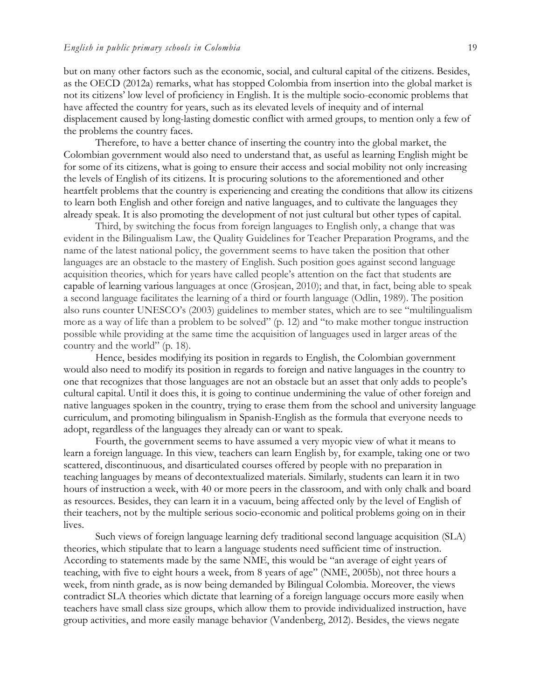but on many other factors such as the economic, social, and cultural capital of the citizens. Besides, as the OECD (2012a) remarks, what has stopped Colombia from insertion into the global market is not its citizens' low level of proficiency in English. It is the multiple socio-economic problems that have affected the country for years, such as its elevated levels of inequity and of internal displacement caused by long-lasting domestic conflict with armed groups, to mention only a few of the problems the country faces.

Therefore, to have a better chance of inserting the country into the global market, the Colombian government would also need to understand that, as useful as learning English might be for some of its citizens, what is going to ensure their access and social mobility not only increasing the levels of English of its citizens. It is procuring solutions to the aforementioned and other heartfelt problems that the country is experiencing and creating the conditions that allow its citizens to learn both English and other foreign and native languages, and to cultivate the languages they already speak. It is also promoting the development of not just cultural but other types of capital.

Third, by switching the focus from foreign languages to English only, a change that was evident in the Bilingualism Law, the Quality Guidelines for Teacher Preparation Programs, and the name of the latest national policy, the government seems to have taken the position that other languages are an obstacle to the mastery of English. Such position goes against second language acquisition theories, which for years have called people's attention on the fact that students are capable of learning various languages at once (Grosjean, 2010); and that, in fact, being able to speak a second language facilitates the learning of a third or fourth language (Odlin, 1989). The position also runs counter UNESCO's (2003) guidelines to member states, which are to see "multilingualism more as a way of life than a problem to be solved" (p. 12) and "to make mother tongue instruction possible while providing at the same time the acquisition of languages used in larger areas of the country and the world" (p. 18).

Hence, besides modifying its position in regards to English, the Colombian government would also need to modify its position in regards to foreign and native languages in the country to one that recognizes that those languages are not an obstacle but an asset that only adds to people's cultural capital. Until it does this, it is going to continue undermining the value of other foreign and native languages spoken in the country, trying to erase them from the school and university language curriculum, and promoting bilingualism in Spanish-English as the formula that everyone needs to adopt, regardless of the languages they already can or want to speak.

Fourth, the government seems to have assumed a very myopic view of what it means to learn a foreign language. In this view, teachers can learn English by, for example, taking one or two scattered, discontinuous, and disarticulated courses offered by people with no preparation in teaching languages by means of decontextualized materials. Similarly, students can learn it in two hours of instruction a week, with 40 or more peers in the classroom, and with only chalk and board as resources. Besides, they can learn it in a vacuum, being affected only by the level of English of their teachers, not by the multiple serious socio-economic and political problems going on in their lives.

Such views of foreign language learning defy traditional second language acquisition (SLA) theories, which stipulate that to learn a language students need sufficient time of instruction. According to statements made by the same NME, this would be "an average of eight years of teaching, with five to eight hours a week, from 8 years of age" (NME, 2005b), not three hours a week, from ninth grade, as is now being demanded by Bilingual Colombia. Moreover, the views contradict SLA theories which dictate that learning of a foreign language occurs more easily when teachers have small class size groups, which allow them to provide individualized instruction, have group activities, and more easily manage behavior (Vandenberg, 2012). Besides, the views negate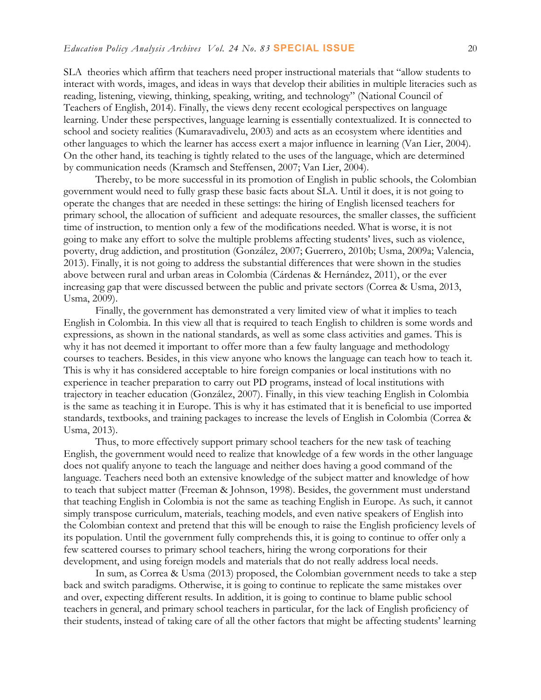SLA theories which affirm that teachers need proper instructional materials that "allow students to interact with words, images, and ideas in ways that develop their abilities in multiple literacies such as reading, listening, viewing, thinking, speaking, writing, and technology" (National Council of Teachers of English, 2014). Finally, the views deny recent ecological perspectives on language learning. Under these perspectives, language learning is essentially contextualized. It is connected to school and society realities (Kumaravadivelu, 2003) and acts as an ecosystem where identities and other languages to which the learner has access exert a major influence in learning (Van Lier, 2004). On the other hand, its teaching is tightly related to the uses of the language, which are determined by communication needs (Kramsch and Steffensen, 2007; Van Lier, 2004).

Thereby, to be more successful in its promotion of English in public schools, the Colombian government would need to fully grasp these basic facts about SLA. Until it does, it is not going to operate the changes that are needed in these settings: the hiring of English licensed teachers for primary school, the allocation of sufficient and adequate resources, the smaller classes, the sufficient time of instruction, to mention only a few of the modifications needed. What is worse, it is not going to make any effort to solve the multiple problems affecting students' lives, such as violence, poverty, drug addiction, and prostitution (González, 2007; Guerrero, 2010b; Usma, 2009a; Valencia, 2013). Finally, it is not going to address the substantial differences that were shown in the studies above between rural and urban areas in Colombia (Cárdenas & Hernández, 2011), or the ever increasing gap that were discussed between the public and private sectors (Correa & Usma, 2013, Usma, 2009).

Finally, the government has demonstrated a very limited view of what it implies to teach English in Colombia. In this view all that is required to teach English to children is some words and expressions, as shown in the national standards, as well as some class activities and games. This is why it has not deemed it important to offer more than a few faulty language and methodology courses to teachers. Besides, in this view anyone who knows the language can teach how to teach it. This is why it has considered acceptable to hire foreign companies or local institutions with no experience in teacher preparation to carry out PD programs, instead of local institutions with trajectory in teacher education (González, 2007). Finally, in this view teaching English in Colombia is the same as teaching it in Europe. This is why it has estimated that it is beneficial to use imported standards, textbooks, and training packages to increase the levels of English in Colombia (Correa & Usma, 2013).

Thus, to more effectively support primary school teachers for the new task of teaching English, the government would need to realize that knowledge of a few words in the other language does not qualify anyone to teach the language and neither does having a good command of the language. Teachers need both an extensive knowledge of the subject matter and knowledge of how to teach that subject matter (Freeman & Johnson, 1998). Besides, the government must understand that teaching English in Colombia is not the same as teaching English in Europe. As such, it cannot simply transpose curriculum, materials, teaching models, and even native speakers of English into the Colombian context and pretend that this will be enough to raise the English proficiency levels of its population. Until the government fully comprehends this, it is going to continue to offer only a few scattered courses to primary school teachers, hiring the wrong corporations for their development, and using foreign models and materials that do not really address local needs.

In sum, as Correa & Usma (2013) proposed, the Colombian government needs to take a step back and switch paradigms. Otherwise, it is going to continue to replicate the same mistakes over and over, expecting different results. In addition, it is going to continue to blame public school teachers in general, and primary school teachers in particular, for the lack of English proficiency of their students, instead of taking care of all the other factors that might be affecting students' learning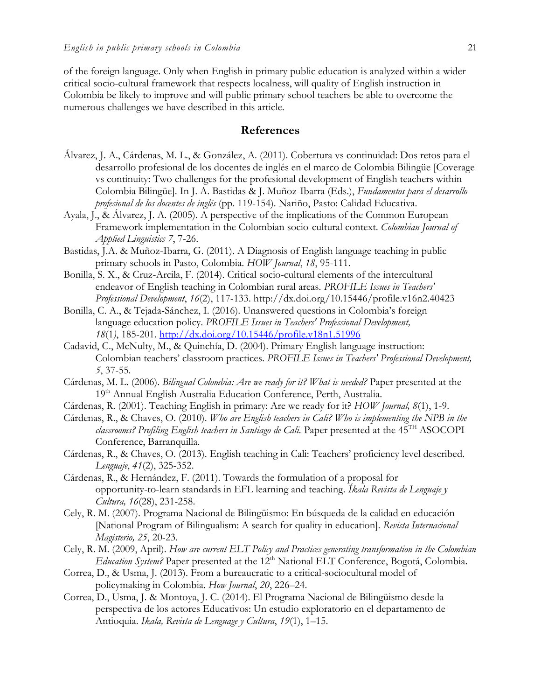of the foreign language. Only when English in primary public education is analyzed within a wider critical socio-cultural framework that respects localness, will quality of English instruction in Colombia be likely to improve and will public primary school teachers be able to overcome the numerous challenges we have described in this article.

## **References**

- Álvarez, J. A., Cárdenas, M. L., & González, A. (2011). Cobertura vs continuidad: Dos retos para el desarrollo profesional de los docentes de inglés en el marco de Colombia Bilingüe [Coverage vs continuity: Two challenges for the profesional development of English teachers within Colombia Bilingüe]. In J. A. Bastidas & J. Muñoz-Ibarra (Eds.), *Fundamentos para el desarrollo profesional de los docentes de inglés* (pp. 119-154). Nariño, Pasto: Calidad Educativa.
- Ayala, J., & Álvarez, J. A. (2005). A perspective of the implications of the Common European Framework implementation in the Colombian socio-cultural context. *Colombian Journal of Applied Linguistics 7*, 7-26.
- Bastidas, J.A. & Muñoz-Ibarra, G. (2011). A Diagnosis of English language teaching in public primary schools in Pasto, Colombia. *HOW Journal*, *18*, 95-111.
- Bonilla, S. X., & Cruz-Arcila, F. (2014). Critical socio-cultural elements of the intercultural endeavor of English teaching in Colombian rural areas. *PROFILE Issues in Teachers' Professional Development*, *16*(2), 117-133. http://dx.doi.org/10.15446/profile.v16n2.40423
- Bonilla, C. A., & Tejada-Sánchez, I. (2016). Unanswered questions in Colombia's foreign language education policy. *PROFILE Issues in Teachers' Professional Development, 18*(1*)*, 185-201. <http://dx.doi.org/10.15446/profile.v18n1.51996>
- Cadavid, C., McNulty, M., & Quinchía, D. (2004). Primary English language instruction: Colombian teachers' classroom practices. *PROFILE Issues in Teachers' Professional Development, 5*, 37-55.
- Cárdenas, M. L. (2006). *Bilingual Colombia: Are we ready for it? What is needed?* Paper presented at the 19<sup>th</sup> Annual English Australia Education Conference, Perth, Australia.
- Cárdenas, R. (2001). Teaching English in primary: Are we ready for it? *HOW Journal, 8*(1), 1-9.
- Cárdenas, R., & Chaves, O. (2010). *Who are English teachers in Cali? Who is implementing the NPB in the classrooms? Profiling English teachers in Santiago de Cali.* Paper presented at the 45TH ASOCOPI Conference, Barranquilla.
- Cárdenas, R., & Chaves, O. (2013). English teaching in Cali: Teachers' proficiency level described. *Lenguaje*, *41*(2), 325-352.
- Cárdenas, R., & Hernández, F. (2011). Towards the formulation of a proposal for opportunity-to-learn standards in EFL learning and teaching. *Íkala Revista de Lenguaje y Cultura, 16*(28), 231-258.
- Cely, R. M. (2007). Programa Nacional de Bilingüismo: En búsqueda de la calidad en educación [National Program of Bilingualism: A search for quality in education]. *Revista Internacional Magisterio, 25*, 20-23.
- Cely, R. M. (2009, April). *How are current ELT Policy and Practices generating transformation in the Colombian Education System?* Paper presented at the 12<sup>th</sup> National ELT Conference, Bogotá, Colombia.
- Correa, D., & Usma, J. (2013). From a bureaucratic to a critical-sociocultural model of policymaking in Colombia. *How Journal*, *20*, 226–24.
- Correa, D., Usma, J. & Montoya, J. C. (2014). El Programa Nacional de Bilingüismo desde la perspectiva de los actores Educativos: Un estudio exploratorio en el departamento de Antioquia. *Ikala, Revista de Lenguage y Cultura*, *19*(1), 1–15.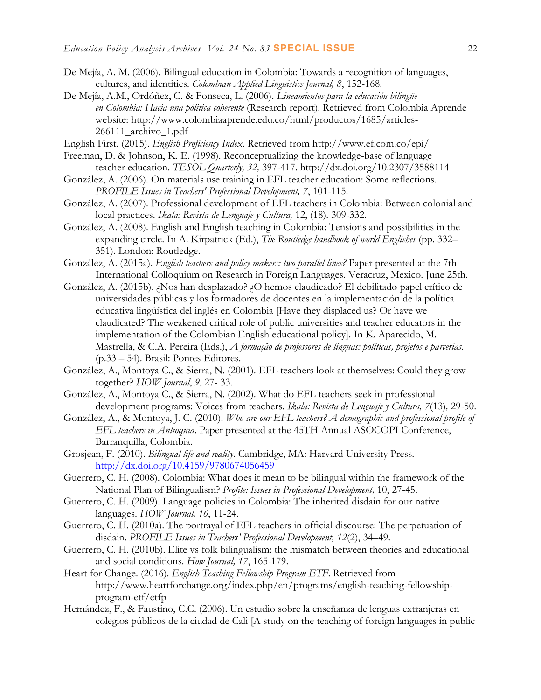- De Mejía, A. M. (2006). Bilingual education in Colombia: Towards a recognition of languages, cultures, and identities. *Colombian Applied Linguistics Journal, 8*, 152-168.
- De Mejía, A.M., Ordóñez, C. & Fonseca, L. (2006). *Lineamientos para la educación bilingüe en Colombia: Hacia una pólitica coherente* (Research report). Retrieved from Colombia Aprende website: [http://www.colombiaaprende.edu.co/html/productos/1685/articles-](http://www.colombiaaprende.edu.co/html/productos/1685/articles-266111_archivo_1.pdf)[266111\\_archivo\\_1.pdf](http://www.colombiaaprende.edu.co/html/productos/1685/articles-266111_archivo_1.pdf)
- English First. (2015). *English Proficiency Index*. Retrieved from<http://www.ef.com.co/epi/>
- Freeman, D. & Johnson, K. E. (1998). Reconceptualizing the knowledge-base of language teacher education. *TESOL Quarterly, 32,* 397-417. http://dx.doi.org/10.2307/3588114
- González, A. (2006). On materials use training in EFL teacher education: Some reflections. *PROFILE Issues in Teachers' Professional Development, 7*, 101-115.
- González, A. (2007). Professional development of EFL teachers in Colombia: Between colonial and local practices. *Ikala: Revista de Lenguaje y Cultura,* 12, (18). 309-332.
- González, A. (2008). English and English teaching in Colombia: Tensions and possibilities in the expanding circle. In A. Kirpatrick (Ed.), *The Routledge handbook of world Englishes* (pp. 332– 351). London: Routledge.
- González, A. (2015a). *English teachers and policy makers: two parallel lines?* Paper presented at the 7th International Colloquium on Research in Foreign Languages. Veracruz, Mexico. June 25th.
- González, A. (2015b). ¿Nos han desplazado? ¿O hemos claudicado? El debilitado papel crítico de universidades públicas y los formadores de docentes en la implementación de la política educativa lingüística del inglés en Colombia [Have they displaced us? Or have we claudicated? The weakened critical role of public universities and teacher educators in the implementation of the Colombian English educational policy]. In K. Aparecido, M. Mastrella, & C.A. Pereira (Eds.), *A formação de professores de línguas: políticas, projetos e parcerias*. (p.33 – 54). Brasil: Pontes Editores.
- González, A., Montoya C., & Sierra, N. (2001). EFL teachers look at themselves: Could they grow together? *HOW Journal*, *9*, 27- 33.
- González, A., Montoya C., & Sierra, N. (2002). What do EFL teachers seek in professional development programs: Voices from teachers. *Ikala: Revista de Lenguaje y Cultura, 7*(13)*,* 29-50.
- González, A., & Montoya, J. C. (2010). *Who are our EFL teachers? A demographic and professional profile of EFL teachers in Antioquia*. Paper presented at the 45TH Annual ASOCOPI Conference, Barranquilla, Colombia.
- Grosjean, F. (2010). *Bilingual life and reality*. Cambridge, MA: Harvard University Press. <http://dx.doi.org/10.4159/9780674056459>
- Guerrero, C. H. (2008). Colombia: What does it mean to be bilingual within the framework of the National Plan of Bilingualism? *Profile: Issues in Professional Development,* 10, 27-45.
- Guerrero, C. H. (2009). Language policies in Colombia: The inherited disdain for our native languages. *HOW Journal, 16*, 11-24.
- Guerrero, C. H. (2010a). The portrayal of EFL teachers in official discourse: The perpetuation of disdain. *PROFILE Issues in Teachers' Professional Development, 12*(2), 34–49.
- Guerrero, C. H. (2010b). Elite vs folk bilingualism: the mismatch between theories and educational and social conditions. *How Journal, 17*, 165-179.
- Heart for Change. (2016). *English Teaching Fellowship Program ETF*. Retrieved from http://www.heartforchange.org/index.php/en/programs/english-teaching-fellowshipprogram-etf/etfp
- Hernández, F., & Faustino, C.C. (2006). Un estudio sobre la enseñanza de lenguas extranjeras en colegios públicos de la ciudad de Cali [A study on the teaching of foreign languages in public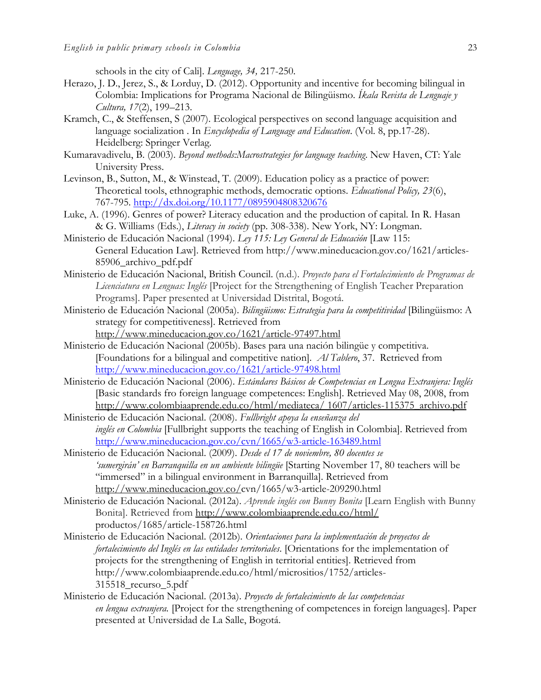schools in the city of Cali]. *Lenguage, 34,* 217-250.

- Herazo, J. D., Jerez, S., & Lorduy, D. (2012). Opportunity and incentive for becoming bilingual in Colombia: Implications for Programa Nacional de Bilingüismo. *Íkala Revista de Lenguaje y Cultura, 17*(2), 199–213.
- Kramch, C., & Steffensen, S (2007). Ecological perspectives on second language acquisition and language socialization . In *Encyclopedia of Language and Education*. (Vol. 8, pp.17-28). Heidelberg: Springer Verlag.
- Kumaravadivelu, B. (2003). *Beyond methods:Macrostrategies for language teaching*. New Haven, CT: Yale University Press.
- Levinson, B., Sutton, M., & Winstead, T. (2009). Education policy as a practice of power: Theoretical tools, ethnographic methods, democratic options. *Educational Policy, 23*(6), 767-795. <http://dx.doi.org/10.1177/0895904808320676>
- Luke, A. (1996). Genres of power? Literacy education and the production of capital. In R. Hasan & G. Williams (Eds.), *Literacy in society* (pp. 308-338). New York, NY: Longman.
- Ministerio de Educación Nacional (1994). *Ley 115: Ley General de Educación* [Law 115: General Education Law]. Retrieved from [http://www.mineducacion.gov.co/1621/articles-](ttp://www.mineducacion.gov.co/1621/articles-8)[85](ttp://www.mineducacion.gov.co/1621/articles-8)906\_archivo\_pdf.pdf
- Ministerio de Educación Nacional, British Council. (n.d.). *Proyecto para el Fortalecimiento de Programas de Licenciatura en Lenguas: Inglés* [Project for the Strengthening of English Teacher Preparation Programs]. Paper presented at Universidad Distrital, Bogotá.
- Ministerio de Educación Nacional (2005a). *Bilingüismo: Estrategia para la competitividad* [Bilingüismo: A strategy for competitiveness]. Retrieved from <http://www.mineducacion.gov.co/1621/article-97497.html>
- Ministerio de Educación Nacional (2005b). Bases para una nación bilingüe y competitiva. [Foundations for a bilingual and competitive nation]. *Al Tablero*, 37. Retrieved from <http://www.mineducacion.gov.co/1621/article-97498.html>
- Ministerio de Educación Nacional (2006). *Estándares Básicos de Competencias en Lengua Extranjera: Inglés* [Basic standards fro foreign language competences: English]. Retrieved May 08, 2008, from [http://www.colombiaaprende.edu.co/html/mediateca/ 1607/articles-115375\\_archivo.pdf](http://www.colombiaaprende.edu.co/html/mediateca/%201607/articles-115375_archivo.pdf)
- Ministerio de Educación Nacional. (2008). *Fullbright apoya la enseñanza del inglés en Colombia* [Fullbright supports the teaching of English in Colombia]. Retrieved from <http://www.mineducacion.gov.co/cvn/1665/w3-article-163489.html>
- Ministerio de Educación Nacional. (2009). *Desde el 17 de noviembre, 80 docentes se 'sumergirán' en Barranquilla en un ambiente bilingüe* [Starting November 17, 80 teachers will be "immersed" in a bilingual environment in Barranquilla]. Retrieved from [http://www.mineducacion.gov.co/c](http://www.mineducacion.gov.co/)vn/1665/w3-article-209290.html
- Ministerio de Educación Nacional. (2012a). *Aprende inglés con Bunny Bonita* [Learn English with Bunny Bonita]. Retrieved from<http://www.colombiaaprende.edu.co/html/> productos/1685/article-158726.html
- Ministerio de Educación Nacional. (2012b). *Orientaciones para la implementación de proyectos de fortalecimiento del Inglés en las entidades territoriales*. [Orientations for the implementation of projects for the strengthening of English in territorial entities]. Retrieved from http://www.colombiaaprende.edu.co/html/micrositios/1752/articles-315518\_recurso\_5.pdf
- Ministerio de Educación Nacional. (2013a). *Proyecto de fortalecimiento de las competencias en lengua extranjera.* [Project for the strengthening of competences in foreign languages]. Paper presented at Universidad de La Salle, Bogotá.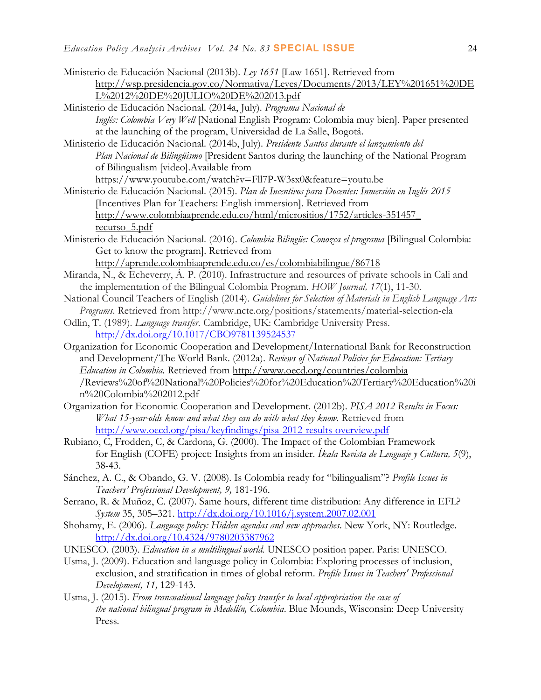| Ministerio de Educación Nacional (2013b). Ley 1651 [Law 1651]. Retrieved from                               |
|-------------------------------------------------------------------------------------------------------------|
| http://wsp.presidencia.gov.co/Normativa/Leyes/Documents/2013/LEY%201651%20DE                                |
| L%2012%20DE%20JULIO%20DE%202013.pdf                                                                         |
| Ministerio de Educación Nacional. (2014a, July). Programa Nacional de                                       |
| Inglés: Colombia Very Well [National English Program: Colombia muy bien]. Paper presented                   |
| at the launching of the program, Universidad de La Salle, Bogotá.                                           |
| Ministerio de Educación Nacional. (2014b, July). Presidente Santos durante el lanzamiento del               |
| Plan Nacional de Bilingüismo [President Santos during the launching of the National Program                 |
| of Bilingualism [video]. Available from                                                                     |
| https://www.youtube.com/watch?v=Fll7P-W3sx0&feature=youtu.be                                                |
| Ministerio de Educación Nacional. (2015). Plan de Incentivos para Docentes: Inmersión en Inglés 2015        |
| Incentives Plan for Teachers: English immersion]. Retrieved from                                            |
| http://www.colombiaaprende.edu.co/html/micrositios/1752/articles-351457                                     |
| recurso 5.pdf                                                                                               |
| Ministerio de Educación Nacional. (2016). Colombia Bilingüe: Conozca el programa [Bilingual Colombia:       |
| Get to know the program]. Retrieved from                                                                    |
| http://aprende.colombiaaprende.edu.co/es/colombiabilingue/86718                                             |
| Miranda, N., & Echeverry, Á. P. (2010). Infrastructure and resources of private schools in Cali and         |
| the implementation of the Bilingual Colombia Program. HOW Journal, 17(1), 11-30.                            |
|                                                                                                             |
| National Council Teachers of English (2014). Guidelines for Selection of Materials in English Language Arts |
| Programs. Retrieved from http://www.ncte.org/positions/statements/material-selection-ela                    |
| Odlin, T. (1989). Language transfer. Cambridge, UK: Cambridge University Press.                             |
| http://dx.doi.org/10.1017/CBO9781139524537                                                                  |
| Organization for Economic Cooperation and Development/International Bank for Reconstruction                 |
| and Development/The World Bank. (2012a). Reviews of National Policies for Education: Tertiary               |
| Education in Colombia. Retrieved from http://www.oecd.org/countries/colombia                                |
| /Reviews%20of%20National%20Policies%20for%20Education%20Tertiary%20Education%20i                            |
| n%20Colombia%202012.pdf                                                                                     |
| Organization for Economic Cooperation and Development. (2012b). PISA 2012 Results in Focus:                 |
| What 15-year-olds know and what they can do with what they know. Retrieved from                             |
| http://www.oecd.org/pisa/keyfindings/pisa-2012-results-overview.pdf                                         |
| Rubiano, C, Frodden, C, & Cardona, G. (2000). The Impact of the Colombian Framework                         |
| for English (COFE) project: Insights from an insider. Ikala Revista de Lenguaje y Cultura, 5(9),            |
| 38-43.                                                                                                      |
| Sánchez, A. C., & Obando, G. V. (2008). Is Colombia ready for "bilingualism"? Profile Issues in             |
| Teachers' Professional Development, 9, 181-196.                                                             |
| Serrano, R. & Muñoz, C. (2007). Same hours, different time distribution: Any difference in EFL?             |
| System 35, 305-321. http://dx.doi.org/10.1016/j.system.2007.02.001                                          |
| Shohamy, E. (2006). Language policy: Hidden agendas and new approaches. New York, NY: Routledge.            |
| http://dx.doi.org/10.4324/9780203387962                                                                     |
| UNESCO. (2003). Education in a multilingual world. UNESCO position paper. Paris: UNESCO.                    |
| Usma, J. (2009). Education and language policy in Colombia: Exploring processes of inclusion,               |
| exclusion, and stratification in times of global reform. Profile Issues in Teachers' Professional           |
| Development, 11, 129-143.                                                                                   |

Usma, J. (2015). *From transnational language policy transfer to local appropriation the case of the national bilingual program in Medellín, Colombia*. Blue Mounds, Wisconsin: Deep University Press.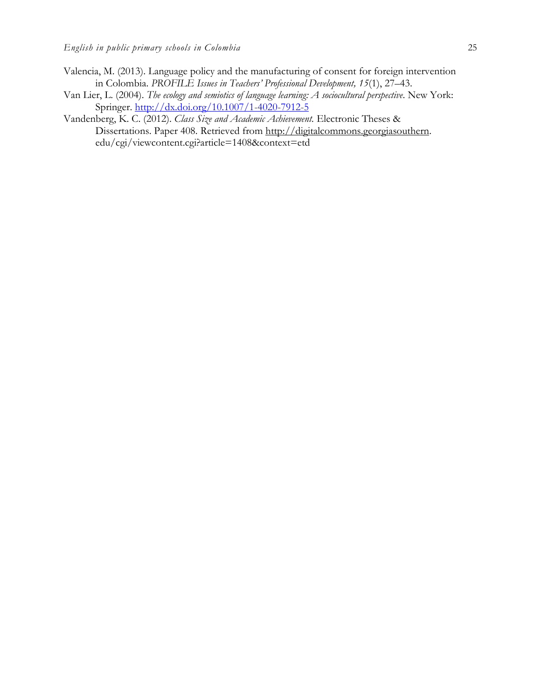- Valencia, M. (2013). Language policy and the manufacturing of consent for foreign intervention in Colombia. *PROFILE Issues in Teachers' Professional Development, 15*(1), 27–43.
- Van Lier, L. (2004). *The ecology and semiotics of language learning: A sociocultural perspective*. New York: Springer. <http://dx.doi.org/10.1007/1-4020-7912-5>
- Vandenberg, K. C. (2012). *Class Size and Academic Achievement.* Electronic Theses & Dissertations. Paper 408. Retrieved from [http://digitalcommons.georgiasouthern.](http://digitalcommons.georgiasouthern/) edu/cgi/viewcontent.cgi?article=1408&context=etd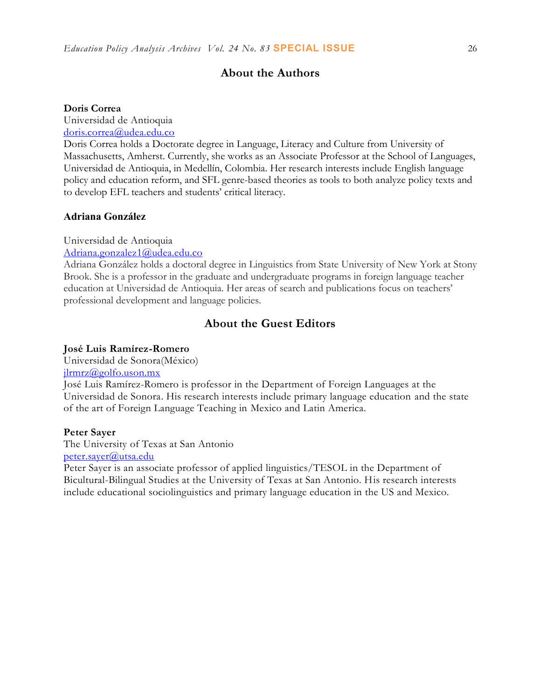## **About the Authors**

#### **Doris Correa**

Universidad de Antioquia

[doris.correa@udea.edu.co](mailto:doris.correa@udea.edu.co)

Doris Correa holds a Doctorate degree in Language, Literacy and Culture from University of Massachusetts, Amherst. Currently, she works as an Associate Professor at the School of Languages, Universidad de Antioquia, in Medellín, Colombia. Her research interests include English language policy and education reform, and SFL genre-based theories as tools to both analyze policy texts and to develop EFL teachers and students' critical literacy.

## **Adriana González**

Universidad de Antioquia

[Adriana.gonzalez1@udea.edu.co](mailto:Adriana.gonzalez1@udea.edu.co)

Adriana González holds a doctoral degree in Linguistics from State University of New York at Stony Brook. She is a professor in the graduate and undergraduate programs in foreign language teacher education at Universidad de Antioquia. Her areas of search and publications focus on teachers' professional development and language policies.

## **About the Guest Editors**

#### **José Luis Ramírez-Romero**

Universidad de Sonora(México)

[jlrmrz@golfo.uson.mx](mailto:jlrmrz@golfo.uson.mx)

José Luis Ramírez-Romero is professor in the Department of Foreign Languages at the Universidad de Sonora. His research interests include primary language education and the state of the art of Foreign Language Teaching in Mexico and Latin America.

### **Peter Sayer**

The University of Texas at San Antonio [peter.sayer@utsa.edu](mailto:peter.sayer@utsa.edu)

Peter Sayer is an associate professor of applied linguistics/TESOL in the Department of Bicultural-Bilingual Studies at the University of Texas at San Antonio. His research interests include educational sociolinguistics and primary language education in the US and Mexico.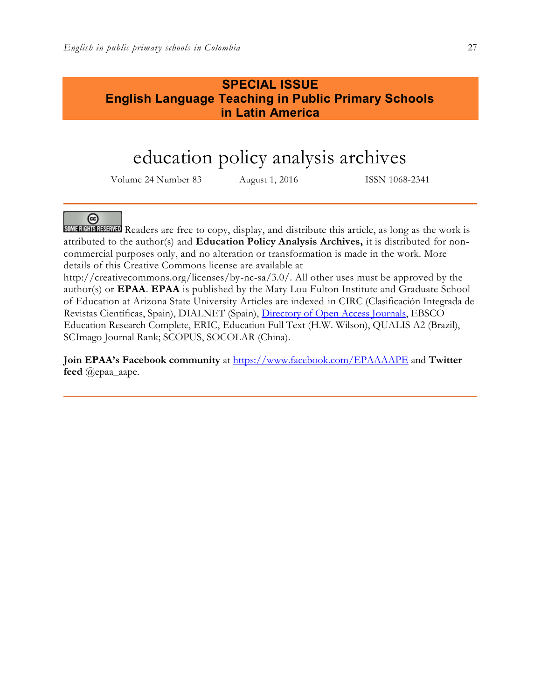# **SPECIAL ISSUE English Language Teaching in Public Primary Schools in Latin America**

# education policy analysis archives

Volume 24 Number 83 August 1, 2016 ISSN 1068-2341

@

**SOME RIGHTS RESERVED** Readers are free to copy, display, and distribute this article, as long as the work is attributed to the author(s) and **Education Policy Analysis Archives,** it is distributed for noncommercial purposes only, and no alteration or transformation is made in the work. More details of this Creative Commons license are available at

http://creativecommons.org/licenses/by-nc-sa/3.0/. All other uses must be approved by the author(s) or **EPAA**. **EPAA** is published by the Mary Lou Fulton Institute and Graduate School of Education at Arizona State University Articles are indexed in CIRC (Clasificación Integrada de Revistas Científicas, Spain), DIALNET (Spain), [Directory of Open Access Journals,](http://www.doaj.org/) EBSCO Education Research Complete, ERIC, Education Full Text (H.W. Wilson), QUALIS A2 (Brazil), SCImago Journal Rank; SCOPUS, SOCOLAR (China).

**Join EPAA's Facebook community** at<https://www.facebook.com/EPAAAAPE> and **Twitter feed** @epaa\_aape.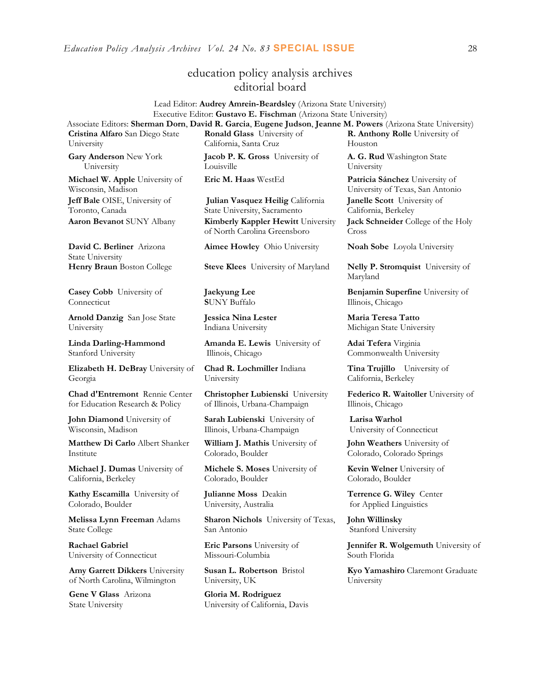## education policy analysis archives editorial board

#### Lead Editor: **Audrey Amrein-Beardsley** (Arizona State University) Executive Editor: **Gustavo E. Fischman** (Arizona State University) Associate Editors: **Sherman Dorn**, **David R. Garcia**, **Eugene Judson**, **Jeanne M. Powers** (Arizona State University)

**Cristina Alfaro** San Diego State University

**Gary Anderson** New York University

**Michael W. Apple** University of Wisconsin, Madison **Jeff Bale** OISE, University of Toronto, Canada

**David C. Berliner** Arizona State University

**Casey Cobb** University of Connecticut

**Arnold Danzig** San Jose State University

**Linda Darling-Hammond**  Stanford University

**Elizabeth H. DeBray** University of Georgia

**Chad d'Entremont** Rennie Center for Education Research & Policy

**John Diamond** University of Wisconsin, Madison

**Matthew Di Carlo** Albert Shanker Institute

**Michael J. Dumas** University of California, Berkeley

**Kathy Escamilla** University of Colorado, Boulder

**Melissa Lynn Freeman** Adams State College

**Rachael Gabriel** University of Connecticut

**Amy Garrett Dikkers** University of North Carolina, Wilmington

**Gene V Glass** Arizona State University

**Ronald Glass** University of California, Santa Cruz

**Jacob P. K. Gross** University of Louisville

**Julian Vasquez Heilig** California State University, Sacramento **Aaron Bevanot** SUNY Albany **Kimberly Kappler Hewitt** University of North Carolina Greensboro

**Henry Braun** Boston College **Steve Klees** University of Maryland **Nelly P. Stromquist** University of

**Jaekyung Lee S**UNY Buffalo

**Jessica Nina Lester** Indiana University

**Amanda E. Lewis** University of Illinois, Chicago

**Chad R. Lochmiller** Indiana University

**Christopher Lubienski** University of Illinois, Urbana-Champaign

**Sarah Lubienski** University of Illinois, Urbana-Champaign

**William J. Mathis** University of Colorado, Boulder

**Michele S. Moses** University of Colorado, Boulder

**Julianne Moss** Deakin University, Australia

**Sharon Nichols** University of Texas, San Antonio

**Eric Parsons** University of Missouri-Columbia

**Susan L. Robertson** Bristol University, UK

**Gloria M. Rodriguez** University of California, Davis

**R. Anthony Rolle** University of Houston **A. G. Rud** Washington State University

**Eric M. Haas** WestEd **Patricia Sánchez** University of University of Texas, San Antonio **Janelle Scott** University of California, Berkeley **Jack Schneider** College of the Holy Cross

**Aimee Howley** Ohio University **Noah Sobe** Loyola University

Maryland

**Benjamin Superfine** University of Illinois, Chicago

**Maria Teresa Tatto**  Michigan State University

**Adai Tefera** Virginia Commonwealth University

**Tina Trujillo** University of California, Berkeley

**Federico R. Waitoller** University of Illinois, Chicago

**Larisa Warhol** University of Connecticut

**John Weathers** University of Colorado, Colorado Springs

**Kevin Welner** University of Colorado, Boulder

**Terrence G. Wiley** Center for Applied Linguistics

**John Willinsky**  Stanford University

**Jennifer R. Wolgemuth** University of South Florida

**Kyo Yamashiro** Claremont Graduate University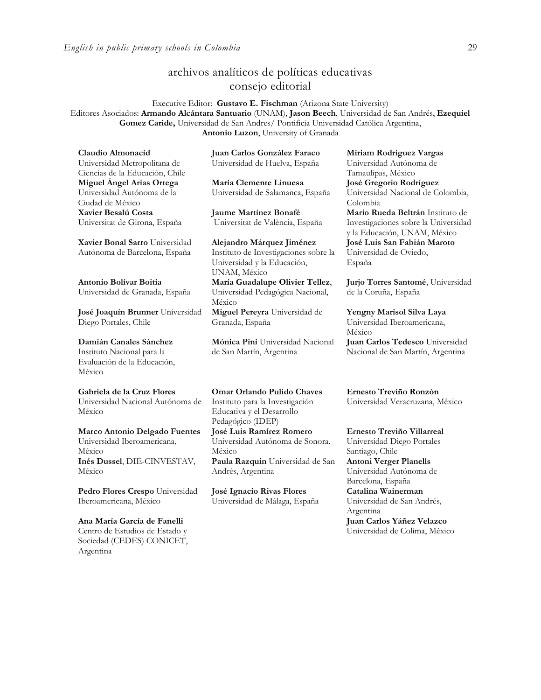## archivos analíticos de políticas educativas consejo editorial

Executive Editor: **Gustavo E. Fischman** (Arizona State University) Editores Asociados: **Armando Alcántara Santuario** (UNAM), **Jason Beech**, Universidad de San Andrés, **Ezequiel Gomez Caride,** Universidad de San Andres/ Pontificia Universidad Católica Argentina, **Antonio Luzon**, University of Granada

**Claudio Almonacid** Universidad Metropolitana de Ciencias de la Educación, Chile **Miguel Ángel Arias Ortega**  Universidad Autónoma de la Ciudad de México **Xavier Besalú Costa**  Universitat de Girona, España

**[Xavier Bonal](javascript:openRTWindow() Sarro** Universidad Autónoma de Barcelona, España

**[Antonio Bolívar](javascript:openRTWindow() Boitia** Universidad de Granada, España

**[José Joaquín Brunner](javascript:openRTWindow()** Universidad Diego Portales, Chile

#### **[Damián Canales Sánchez](javascript:openRTWindow()**

Instituto Nacional para la Evaluación de la Educación, México

#### **Gabriela de la Cruz Flores**

Universidad Nacional Autónoma de México

**[Marco Antonio Delgado Fuentes](javascript:openRTWindow()** Universidad Iberoamericana, México **[Inés Dussel](javascript:openRTWindow()**, DIE-CINVESTAV, México

**[Pedro Flores Crespo](javascript:openRTWindow()** Universidad Iberoamericana, México

**Ana María García de Fanelli**  Centro de Estudios de Estado y Sociedad (CEDES) CONICET, Argentina

**Juan Carlos González Faraco**  Universidad de Huelva, España

**María Clemente Linuesa**  Universidad de Salamanca, España

**Jaume Martínez Bonafé** Universitat de València, España

**Alejandro Márquez Jiménez**  Instituto de Investigaciones sobre la Universidad y la Educación, UNAM, México **María Guadalupe Olivier Tellez**, Universidad Pedagógica Nacional, México

**[Miguel Pereyra](javascript:openRTWindow()** Universidad de Granada, España

**[Mónica Pini](javascript:openRTWindow()** Universidad Nacional de San Martín, Argentina

**Omar Orlando Pulido Chaves** Instituto para la Investigación Educativa y el Desarrollo Pedagógico (IDEP)

**[José Luis Ramírez](javascript:openRTWindow() Romero** Universidad Autónoma de Sonora, México **[Paula Razquin](javascript:openRTWindow()** Universidad de San

**José Ignacio Rivas Flores** Universidad de Málaga, España

Andrés, Argentina

**[Miriam Rodríguez Vargas](javascript:openRTWindow()** Universidad Autónoma de Tamaulipas, México **José Gregorio Rodríguez**  Universidad Nacional de Colombia, Colombia **[Mario Rueda Beltrán](javascript:openRTWindow()** Instituto de Investigaciones sobre la Universidad y la Educación, UNAM, México **José Luis San Fabián Maroto**  Universidad de Oviedo, España

**[Jurjo Torres Santomé](javascript:openRTWindow()**, Universidad de la Coruña, España

**[Yengny Marisol Silva Laya](javascript:openRTWindow()** Universidad Iberoamericana, México **Juan Carlos Tedesco** Universidad

Nacional de San Martín, Argentina

**Ernesto Treviño Ronzón** Universidad Veracruzana, México

**[Ernesto Treviño](javascript:openRTWindow() Villarreal** Universidad Diego Portales Santiago, Chile **[Antoni Verger Planells](javascript:openRTWindow()** Universidad Autónoma de Barcelona, España **[Catalina Wainerman](javascript:openRTWindow()** Universidad de San Andrés, Argentina **Juan Carlos Yáñez Velazco** Universidad de Colima, México